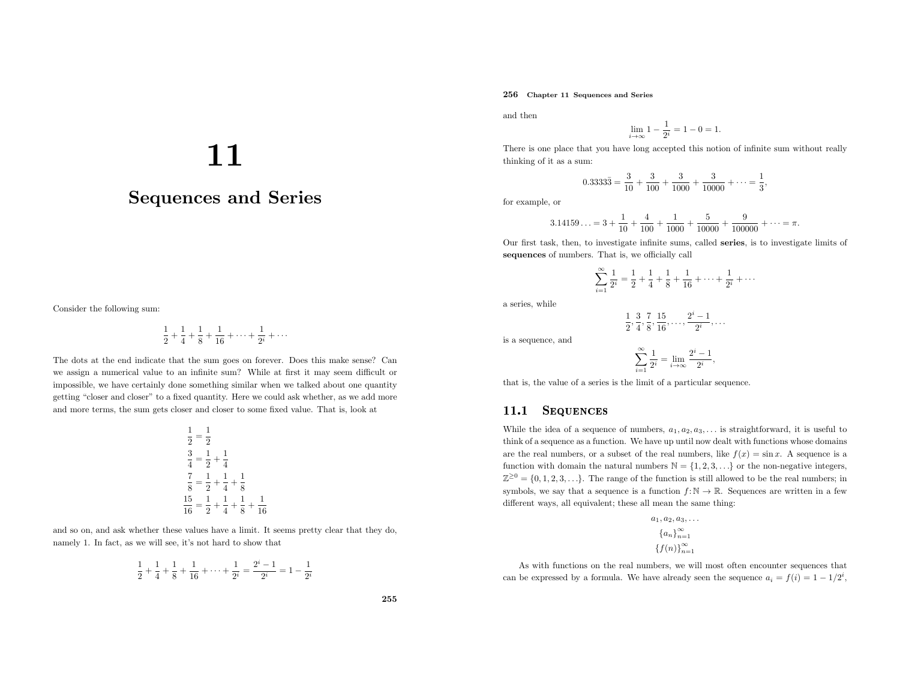### 256 Chapter <sup>11</sup> Sequences and Series

and then

$$
\lim_{i \to \infty} 1 - \frac{1}{2^i} = 1 - 0 = 1.
$$

 There is one <sup>p</sup>lace that you have long accepted this notion of infinite sum without reallythinking of it as <sup>a</sup> sum:

$$
0.3333\overline{3} = \frac{3}{10} + \frac{3}{100} + \frac{3}{1000} + \frac{3}{10000} + \dots = \frac{1}{3},
$$

for example, or

$$
3.14159\ldots = 3 + \frac{1}{10} + \frac{4}{100} + \frac{1}{1000} + \frac{5}{10000} + \frac{9}{100000} + \cdots = \pi.
$$

Our first task, then, to investigate infinite sums, called series, is to investigate limits of sequences of numbers. That is, we officially call

$$
\sum_{i=1}^{\infty} \frac{1}{2^i} = \frac{1}{2} + \frac{1}{4} + \frac{1}{8} + \frac{1}{16} + \dots + \frac{1}{2^i} + \dots
$$

<sup>a</sup> series, while

$$
\frac{1}{2}, \frac{3}{4}, \frac{7}{8}, \frac{15}{16}, \ldots, \frac{2^i-1}{2^i}, \ldots
$$

is <sup>a</sup> sequence, and

$$
\sum_{i=1}^{\infty} \frac{1}{2^i} = \lim_{i \to \infty} \frac{2^i - 1}{2^i},
$$

that is, the value of <sup>a</sup> series is the limit of <sup>a</sup> particular sequence.

#### 11.1**SEQUENCES**

While the idea of a sequence of numbers,  $a_1, a_2, a_3, \ldots$  is straightforward, it is useful to think of <sup>a</sup> sequence as <sup>a</sup> function. We have up until now dealt with functions whose domains are the real numbers, or a subset of the real numbers, like  $f(x) = \sin x$ . A sequence is a function with domain the natural numbers  $\mathbb{N} = \{1, 2, 3, \ldots\}$  or the non-negative integers,  $\mathbb{Z}^{\geq 0} = \{0, 1, 2, 3, \ldots\}$ . The range of the function is still allowed to be the real numbers; in symbols, we say that a sequence is a function  $f: \mathbb{N} \to \mathbb{R}$ . Sequences are written in a few different ways, all equivalent; these all mean the same thing:

$$
a_1, a_2, a_3, \dots
$$

$$
\{a_n\}_{n=1}^{\infty}
$$

$$
\{f(n)\}_{n=1}^{\infty}
$$

As with functions on the real numbers, we will most often encounter sequences that can be expressed by a formula. We have already seen the sequence  $a_i = f(i) = 1 - 1/2^i$ ,

11

# Sequences and Series

Consider the following sum:

$$
\frac{1}{2} + \frac{1}{4} + \frac{1}{8} + \frac{1}{16} + \dots + \frac{1}{2^i} + \dots
$$

The dots at the end indicate that the sum goes on forever. Does this make sense? Can we assign <sup>a</sup> numerical value to an infinite sum? While at first it may seem difficult or impossible, we have certainly done something similar when we talked about one quantity getting "closer and closer" to <sup>a</sup> fixed quantity. Here we could ask whether, as we add more and more terms, the sum gets closer and closer to some fixed value. That is, look at

$$
\frac{1}{2} = \frac{1}{2}
$$
  

$$
\frac{3}{4} = \frac{1}{2} + \frac{1}{4}
$$
  

$$
\frac{7}{8} = \frac{1}{2} + \frac{1}{4} + \frac{1}{8}
$$
  

$$
\frac{15}{16} = \frac{1}{2} + \frac{1}{4} + \frac{1}{8} + \frac{1}{16}
$$

and so on, and ask whether these values have <sup>a</sup> limit. It seems pretty clear that they do, namely 1. In fact, as we will see, it's not hard to show that

$$
\frac{1}{2} + \frac{1}{4} + \frac{1}{8} + \frac{1}{16} + \dots + \frac{1}{2^i} = \frac{2^i - 1}{2^i} = 1 - \frac{1}{2^i}
$$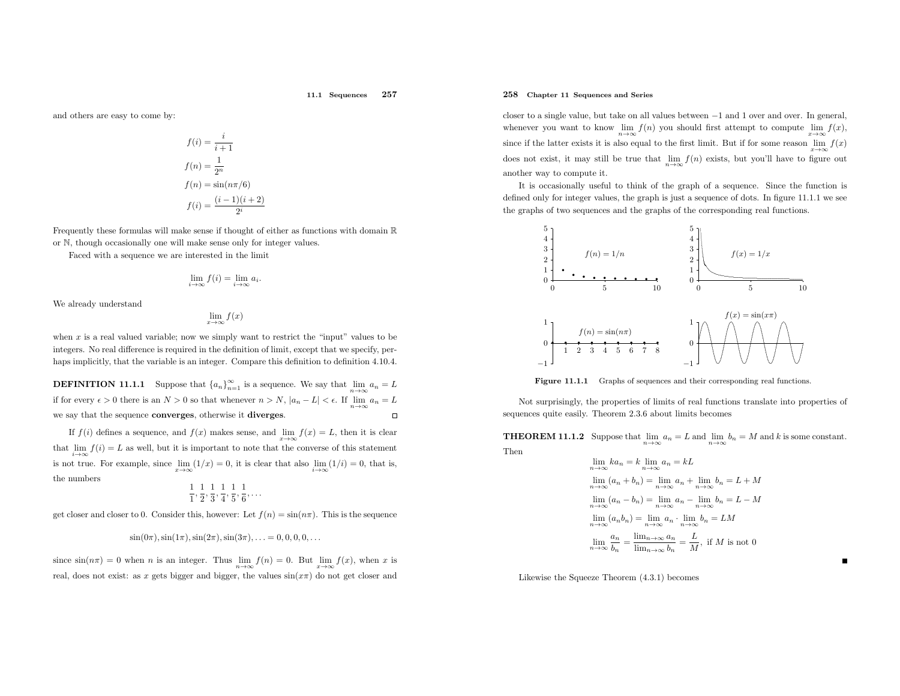#### 11.1 Sequences <sup>257</sup>

and others are easy to come by:

$$
f(i) = \frac{i}{i+1}
$$

$$
f(n) = \frac{1}{2^n}
$$

$$
f(n) = \sin(n\pi/6)
$$

$$
f(i) = \frac{(i-1)(i+2)}{2^i}
$$

Frequently these formulas will make sense if thought of either as functions with domain <sup>R</sup>

or <sup>N</sup>, though occasionally one will make sense only for integer values.

Faced with <sup>a</sup> sequence we are interested in the limit

$$
\lim_{i \to \infty} f(i) = \lim_{i \to \infty} a_i.
$$

We already understand

$$
\lim_{x \to \infty} f(x)
$$

when  $x$  is a real valued variable; now we simply want to restrict the "input" values to be integers. No real difference is required in the definition of limit, except that we specify, perhaps implicitly, that the variable is an integer. Compare this definition to definition 4.10.4.

**DEFINITION 11.1.1** Suppose that  ${a_n}_{n=1}^{\infty}$  is a sequence. We say that  $\lim_{n \to \infty} a_n = L$ if for every  $\epsilon > 0$  there is an  $N > 0$  so that whenever  $n > N$ ,  $|a_n - L| < \epsilon$ . If  $\lim_{n \to \infty} a_n = L$ we say that the sequence converges, otherwise it diverges.  $\Box$ 

If  $f(i)$  defines a sequence, and  $f(x)$  makes sense, and  $\lim_{x\to\infty} f(x) = L$ , then it is clear that  $\lim_{i\to\infty} f(i) = L$  as well, but it is important to note that the converse of this statement<br>is not time. For example, since  $\lim_{i\to\infty} (1/\alpha) = 0$ , it is also that also  $\lim_{i\to\infty} (1/i) = 0$ , that is is not true. For example, since  $\lim_{x\to\infty}(1/x) = 0$ , it is clear that also  $\lim_{i\to\infty}(1/i) = 0$ , that is, the numbers

$$
\frac{1}{1}, \frac{1}{2}, \frac{1}{3}, \frac{1}{4}, \frac{1}{5}, \frac{1}{6}, \dots
$$

get closer and closer to 0. Consider this, however: Let  $f(n) = \sin(n\pi)$ . This is the sequence

$$
\sin(0\pi), \sin(1\pi), \sin(2\pi), \sin(3\pi), \ldots = 0, 0, 0, 0, \ldots
$$

since  $\sin(n\pi) = 0$  when *n* is an integer. Thus  $\lim_{n\to\infty} f(n) = 0$ . But  $\lim_{n\to\infty} f(x)$ , when *x* is real, does not exist: as x gets bigger and bigger, the values  $sin(x\pi)$  do not get closer and

### 258 Chapter <sup>11</sup> Sequences and Series

closer to <sup>a</sup> single value, but take on all values between <sup>−</sup><sup>1</sup> and <sup>1</sup> over and over. In general, whenever you want to know  $\lim_{n\to\infty} f(n)$  you should first attempt to compute  $\lim_{x\to\infty}$ <br>since if the latter exists it is also equal to the first limit. But if for some reason  $\lim_{n\to\infty}$ whenever you want to know  $\lim_{n\to\infty} f(n)$  you should first attempt to compute  $\lim_{x\to\infty} f(x)$ ,<br>since if the latter exists it is also equal to the first limit. But if for some reason  $\lim_{x\to\infty} f(x)$ does not exist, it may still be true that  $\lim_{n\to\infty}f(n)$  exists, but you'll have to figure out another way to compute it.

It is occasionally useful to think of the grap<sup>h</sup> of <sup>a</sup> sequence. Since the function is defined only for integer values, the grap<sup>h</sup> is just <sup>a</sup> sequence of dots. In figure 11.1.1 we see the graphs of two sequences and the graphs of the corresponding real functions.



Figure 11.1.1 Graphs of sequences and their corresponding real functions.

Not surprisingly, the properties of limits of real functions translate into properties of sequences quite easily. Theorem 2.3.6 about limits becomes

**THEOREM 11.1.2** Suppose that  $\lim_{n\to\infty} a_n = L$  and  $\lim_{n\to\infty} b_n = M$  and k is some constant. Then

$$
\lim_{n \to \infty} ka_n = k \lim_{n \to \infty} a_n = kL
$$
  
\n
$$
\lim_{n \to \infty} (a_n + b_n) = \lim_{n \to \infty} a_n + \lim_{n \to \infty} b_n = L + M
$$
  
\n
$$
\lim_{n \to \infty} (a_n - b_n) = \lim_{n \to \infty} a_n - \lim_{n \to \infty} b_n = L - M
$$
  
\n
$$
\lim_{n \to \infty} (a_n b_n) = \lim_{n \to \infty} a_n \cdot \lim_{n \to \infty} b_n = LM
$$
  
\n
$$
\lim_{n \to \infty} \frac{a_n}{b_n} = \frac{\lim_{n \to \infty} a_n}{\lim_{n \to \infty} b_n} = \frac{L}{M}, \text{ if } M \text{ is not } 0
$$

Likewise the Squeeze Theorem (4.3.1) becomes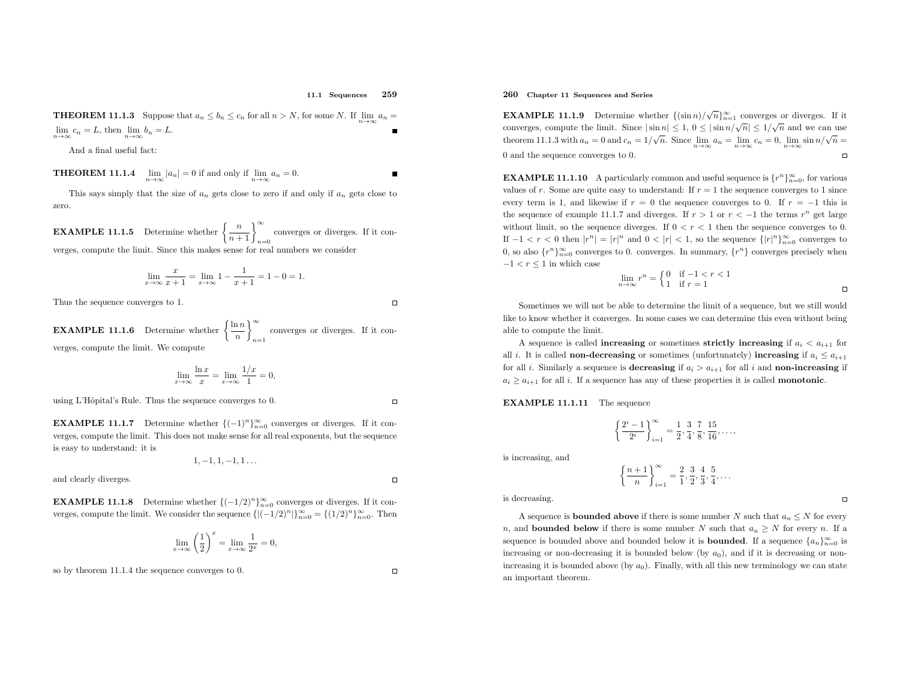#### 11.1 Sequences <sup>259</sup>

**THEOREM 11.1.3** Suppose that  $a_n \leq b_n \leq c_n$  for all  $n > N$ , for some N. If  $\lim_{n \to \infty} a_n =$  $\lim_{n\to\infty}c_n=L$ , then  $\lim_{n\to\infty}b_n=L$ .

And <sup>a</sup> final useful fact:

**THEOREM 11.1.4**  $\lim_{n \to \infty} |a_n| = 0$  if and only if  $\lim_{n \to \infty} a_n = 0$ .

This says simply that the size of  $a_n$  gets close to zero if and only if  $a_n$  gets close to zero.

**EXAMPLE 11.1.5** Determine whether  $\left\{\frac{n}{n+1}\right\}_{n=0}^{\infty}$  converges or diverges. If it converges, compute the limit. Since this makes sense for real numbers we consider

$$
\lim_{x \to \infty} \frac{x}{x+1} = \lim_{x \to \infty} 1 - \frac{1}{x+1} = 1 - 0 = 1.
$$

Thus the sequence converges to 1.

**EXAMPLE 11.1.6** Determine whether  $\left\{\frac{\ln n}{n}\right\}_{n=1}^{\infty}$  converges or diverges. If it converges, compute the limit. We compute

$$
\lim_{x \to \infty} \frac{\ln x}{x} = \lim_{x \to \infty} \frac{1/x}{1} = 0,
$$

using L'Hôpital's Rule. Thus the sequence converges to 0.

**EXAMPLE 11.1.7** Determine whether  $\{(-1)^n\}_{n=0}^{\infty}$  converges or diverges. If it converges, compute the limit. This does not make sense for all real exponents, but the sequence is easy to understand: it is

$$
1,-1,1,-1,1\ldots
$$

and clearly diverges.

 $\Box$ 

 $\Box$ 

 $\Box$ 

**EXAMPLE 11.1.8** Determine whether  $\{(-1/2)^n\}_{n=0}^{\infty}$  converges or diverges. If it converges, compute the limit. We consider the sequence  $\{|(-1/2)^n|\}_{n=0}^{\infty} = \{(1/2)^n\}_{n=0}^{\infty}$ . Then

$$
\lim_{x \to \infty} \left(\frac{1}{2}\right)^x = \lim_{x \to \infty} \frac{1}{2^x} = 0,
$$

so by theorem 11.1.4 the sequence converges to 0.

### 260 Chapter <sup>11</sup> Sequences and Series

**EXAMPLE 11.1.9** Determine whether  $\{(\sin n)/\sqrt{n}\}_{n=1}^{\infty}$  converges or diverges. If it converges, compute the limit. Since  $|\sin n| \leq 1, 0 \leq |\sin n/\sqrt{n}| \leq 1/\sqrt{n}$  and we can use theorem 11.1.3 with  $a_n = 0$  and  $c_n = 1/\sqrt{n}$ . Since  $\lim_{n \to \infty} a_n = \lim_{n \to \infty} c_n = 0$ ,  $\lim_{n \to \infty} \sin \frac{n}{\sqrt{n}} =$ <sup>0</sup> and the sequence converges to 0.

**EXAMPLE 11.1.10** A particularly common and useful sequence is  $\{r^n\}_{n=0}^{\infty}$ , for various values of r. Some are quite easy to understand: If  $r = 1$  the sequence converges to 1 since every term is 1, and likewise if  $r = 0$  the sequence converges to 0. If  $r = -1$  this is the sequence of example 11.1.7 and diverges. If  $r > 1$  or  $r < -1$  the terms  $r^n$  get large without limit, so the sequence diverges. If  $0 < r < 1$  then the sequence converges to 0. If  $-1 < r < 0$  then  $|r^n| = |r|^n$  and  $0 < |r| < 1$ , so the sequence  $\{|r|^n\}_{n=0}^{\infty}$  converges to 0, so also  $\{r^n\}_{n=0}^{\infty}$  converges to 0. converges. In summary,  $\{r^n\}$  converges precisely when  $-1 < r \leq 1$  in which case

$$
\lim_{n \to \infty} r^n = \begin{cases} 0 & \text{if } -1 < r < 1 \\ 1 & \text{if } r = 1 \end{cases} \tag{}
$$

Sometimes we will not be able to determine the limit of <sup>a</sup> sequence, but we still would like to know whether it converges. In some cases we can determine this even without being able to compute the limit.

A sequence is called **increasing** or sometimes **strictly increasing** if  $a_i < a_{i+1}$  for all i. It is called **non-decreasing** or sometimes (unfortunately) **increasing** if  $a_i \le a_{i+1}$ for all *i*. Similarly a sequence is **decreasing** if  $a_i > a_{i+1}$  for all *i* and **non-increasing** if  $a_i \ge a_{i+1}$  for all i. If a sequence has any of these properties it is called **monotonic**.

## EXAMPLE 11.1.11 The sequence

$$
\left\{\frac{2^{i}-1}{2^{i}}\right\}_{i=1}^{\infty} = \frac{1}{2}, \frac{3}{4}, \frac{7}{8}, \frac{15}{16}, \dots,
$$

is increasing, and

$$
\left\{\frac{n+1}{n}\right\}_{i=1}^{\infty} = \frac{2}{1}, \frac{3}{2}, \frac{4}{3}, \frac{5}{4}, \dots
$$

is decreasing.

A sequence is **bounded above** if there is some number N such that  $a_n \leq N$  for every n, and **bounded below** if there is some number N such that  $a_n \geq N$  for every n. If a sequence is bounded above and bounded below it is **bounded**. If a sequence  $\{a_n\}_{n=0}^{\infty}$  is increasing or non-decreasing it is bounded below (by  $a_0$ ), and if it is decreasing or nonincreasing it is bounded above (by  $a_0$ ). Finally, with all this new terminology we can state an important theorem.

$$
f_{\rm{max}}
$$

 $\Box$ 

 $\Box$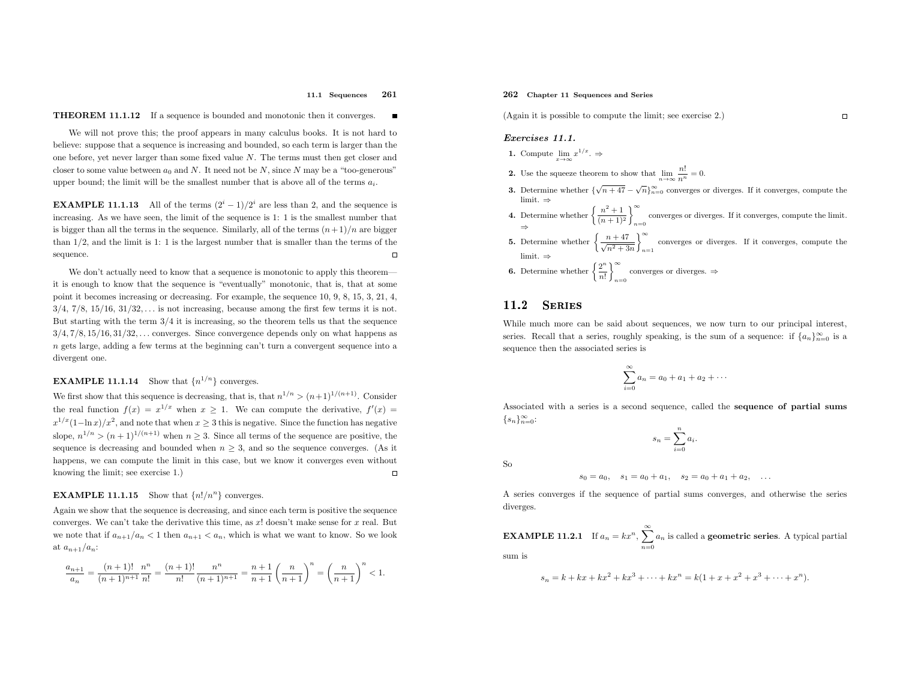#### 11.1 Sequences <sup>261</sup>

## **THEOREM 11.1.12** If a sequence is bounded and monotonic then it converges.

We will not prove this; the proo<sup>f</sup> appears in many calculus books. It is not hard to believe: suppose that <sup>a</sup> sequence is increasing and bounded, so each term is larger than the one before, yet never larger than some fixed value <sup>N</sup>. The terms must then get closer andcloser to some value between  $a_0$  and N. It need not be N, since N may be a "too-generous" upper bound; the limit will be the smallest number that is above all of the terms  $a_i$ .

**EXAMPLE 11.1.13** All of the terms  $(2^{i} - 1)/2^{i}$  are less than 2, and the sequence is increasing. As we have seen, the limit of the sequence is 1: <sup>1</sup> is the smallest number that is bigger than all the terms in the sequence. Similarly, all of the terms  $(n+1)/n$  are bigger than <sup>1</sup>/2, and the limit is 1: <sup>1</sup> is the largest number that is smaller than the terms of the sequence. $\Box$ 

We don't actually need to know that a sequence is monotonic to apply this theorem it is enoug<sup>h</sup> to know that the sequence is "eventually" monotonic, that is, that at some point it becomes increasing or decreasing. For example, the sequence 10, 9, 8, 15, 3, 21, 4,  $3/4$ ,  $7/8$ ,  $15/16$ ,  $31/32$ ,... is not increasing, because among the first few terms it is not. But starting with the term  $3/4$  it is increasing, so the theorem tells us that the sequence  $3/4, 7/8, 15/16, 31/32, \ldots$  converges. Since convergence depends only on what happens as n gets large, adding <sup>a</sup> few terms at the beginning can't turn <sup>a</sup> convergent sequence into <sup>a</sup> divergent one.

# **EXAMPLE 11.1.14** Show that  $\{n^{1/n}\}\$  converges.

We first show that this sequence is decreasing, that is, that  $n^{1/n} > (n+1)^{1/(n+1)}$ . Consider the real function  $f(x) = x^{1/x}$  when  $x \ge 1$ . We can compute the derivative,  $f'(x) =$ the real function  $f(x) = x^{1/x}$  when  $x \ge 1$ . We can compute the derivative,  $f'(x) =$ <br>  $x^{1/x}(1-\ln x)/x^2$ , and note that when  $x \ge 3$  this is negative. Since the function has negative slope,  $n^{1/n} > (n+1)^{1/(n+1)}$  when  $n \geq 3$ . Since all terms of the sequence are positive, the sequence is decreasing and bounded when  $n \geq 3$ , and so the sequence converges. (As it happens, we can compute the limit in this case, but we know it converges even without knowing the limit; see exercise 1.)  $\Box$ 

## **EXAMPLE 11.1.15** Show that  $\{n!/n^n\}$  converges.

Again we show that the sequence is decreasing, and since each term is positive the sequence converges. We can't take the derivative this time, as  $x!$  doesn't make sense for  $x$  real. But we note that if  $a_{n+1}/a_n < 1$  then  $a_{n+1} < a_n$ , which is what we want to know. So we look at  $a_{n+1}/a_n$ :

$$
\frac{a_{n+1}}{a_n}=\frac{(n+1)!}{(n+1)^{n+1}}\frac{n^n}{n!}=\frac{(n+1)!}{n!}\frac{n^n}{(n+1)^{n+1}}=\frac{n+1}{n+1}\left(\frac{n}{n+1}\right)^n=\left(\frac{n}{n+1}\right)^n<1.
$$

## 262 Chapter <sup>11</sup> Sequences and Series

(Again it is possible to compute the limit; see exercise 2.)

### Exercises 11.1.

- 1. Compute  $\lim_{x\to\infty}x^{1/x}$ .  $\Rightarrow$
- 2. Use the squeeze theorem to show that  $\lim_{n\to\infty}\frac{n!}{n^n}=0.$
- **3.** Determine whether  ${\sqrt{n+47} \sqrt{n}}_{n=0}^{\infty}$  converges or diverges. If it converges, compute the
- limit. ⇒<br>
4. Determine whether  $\left\{\frac{n^2+1}{(n+1)^2}\right\}_{n=0}^{\infty}$ Determine whether  $\left\{\frac{n^2+1}{(n+1)^2}\right\}_{n=0}^{\infty}$  converges or diverges. If it converges, compute the limit.
- **5.** Determine whether  $\left\{\frac{n+47}{\sqrt{n^2+3n}}\right\}_{n=1}^{\infty}$  converges or diverges. If it converges, compute the limit.⇒
- **6.** Determine whether  $\left\{\frac{2^n}{n!}\right\}_{n=0}^{\infty}$  converges or diverges.  $\Rightarrow$

#### 11.2**SERIES**

While much more can be said about sequences, we now turn to our principal interest, series. Recall that a series, roughly speaking, is the sum of a sequence: if  $\{a_n\}_{n=0}^{\infty}$  is a sequence then the associated series is

$$
\sum_{i=0}^{\infty} a_i = a_0 + a_1 + a_2 + \cdots
$$

Associated with <sup>a</sup> series is <sup>a</sup> second sequence, called the sequence of partial sums  $\{s_n\}_{n=0}^{\infty}$ :

$$
s_n = \sum_{i=0}^n a_i.
$$

So

$$
s_0 = a_0
$$
,  $s_1 = a_0 + a_1$ ,  $s_2 = a_0 + a_1 + a_2$ , ...

<sup>A</sup> series converges if the sequence of partial sums converges, and otherwise the series diverges.

**EXAMPLE 11.2.1** If  $a_n = kx^n$ ,  $\sum_{n=1}^{\infty} a_n$  is called a **geometric series**. A typical partial  $n=0$ sum is

$$
s_n = k + kx + kx^2 + kx^3 + \dots + kx^n = k(1 + x + x^2 + x^3 + \dots + x^n).
$$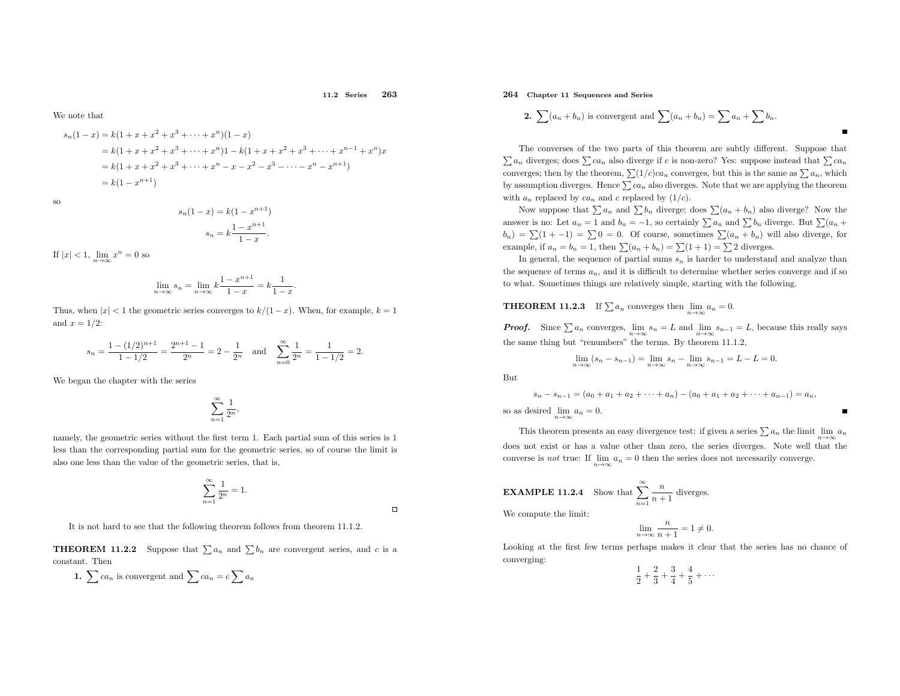11.2 Series <sup>263</sup>

 $\Box$ 

We note that

$$
s_n(1-x) = k(1+x+x^2+x^3+\cdots+x^n)(1-x)
$$
  
=  $k(1+x+x^2+x^3+\cdots+x^n)1 - k(1+x+x^2+x^3+\cdots+x^{n-1}+x^n)x$   
=  $k(1+x+x^2+x^3+\cdots+x^n-x-x^2-x^3-\cdots-x^n-x^{n+1})$   
=  $k(1-x^{n+1})$ 

so

$$
s_n(1-x) = k(1 - x^{n+1})
$$

$$
s_n = k \frac{1 - x^{n+1}}{1 - x}.
$$

If  $|x| < 1$ ,  $\lim_{n \to \infty} x^n = 0$  so

$$
\lim_{n \to \infty} s_n = \lim_{n \to \infty} k \frac{1 - x^{n+1}}{1 - x} = k \frac{1}{1 - x}.
$$

Thus, when  $|x| < 1$  the geometric series converges to  $k/(1-x)$ . When, for example,  $k = 1$ and  $x = 1/2$ :

$$
s_n = \frac{1 - (1/2)^{n+1}}{1 - 1/2} = \frac{2^{n+1} - 1}{2^n} = 2 - \frac{1}{2^n}
$$
 and  $\sum_{n=0}^{\infty} \frac{1}{2^n} = \frac{1}{1 - 1/2} = 2.$ 

We began the chapter with the series

$$
\sum_{n=1}^{\infty} \frac{1}{2^n},
$$

namely, the geometric series without the first term 1. Each partial sum of this series is <sup>1</sup> less than the corresponding partial sum for the geometric series, so of course the limit is also one less than the value of the geometric series, that is,

$$
\sum_{n=1}^{\infty} \frac{1}{2^n} = 1.
$$

It is not hard to see that the following theorem follows from theorem 11.1.2.

**THEOREM 11.2.2** Suppose that  $\sum a_n$  and  $\sum b_n$  are convergent series, and c is a constant. Then

1. 
$$
\sum ca_n
$$
 is convergent and  $\sum ca_n = c \sum a_n$ 

264 Chapter <sup>11</sup> Sequences and Series

2. 
$$
\sum (a_n + b_n)
$$
 is convergent and 
$$
\sum (a_n + b_n) = \sum a_n + \sum b_n.
$$

The converses of the two parts of this theorem are subtly different. Suppose that  $\sum a_n$  diverges; does  $\sum ca_n$  also diverge if c is non-zero? Yes: suppose instead that  $\sum ca_n$ converges; then by the theorem,  $\sum (1/c)ca_n$  converges, but this is the same as  $\sum a_n$ , which by assumption diverges. Hence  $\sum ca_n$  also diverges. Note that we are applying the theorem with  $a_n$  replaced by  $ca_n$  and c replaced by  $(1/c)$ .

Now suppose that  $\sum a_n$  and  $\sum b_n$  diverge; does  $\sum (a_n + b_n)$  also diverge? Now the answer is no: Let  $a_n = 1$  and  $b_n = -1$ , so certainly  $\sum a_n$  and  $\sum b_n$  diverge. But  $\sum (a_n + b_n)$  $(b_n) = \sum (1 + -1) = \sum 0 = 0$ . Of course, sometimes  $\sum (a_n + b_n)$  will also diverge, for example, if  $a_n = b_n = 1$ , then  $\sum (a_n + b_n) = \sum (1 + 1) = \sum 2$  diverges.

In general, the sequence of partial sums  $s_n$  is harder to understand and analyze than the sequence of terms  $a_n$ , and it is difficult to determine whether series converge and if so to what. Sometimes things are relatively simple, starting with the following.

# **THEOREM 11.2.3** If  $\sum a_n$  converges then  $\lim_{n\to\infty} a_n = 0$ .

**Proof.** Since  $\sum a_n$  converges,  $\lim_{n\to\infty} s_n = L$  and  $\lim_{n\to\infty} s_{n-1} = L$ , because this really says the same thing but "renumbers" the terms. By theorem 11.1.2,

$$
\lim_{n \to \infty} (s_n - s_{n-1}) = \lim_{n \to \infty} s_n - \lim_{n \to \infty} s_{n-1} = L - L = 0.
$$

But

$$
s_n - s_{n-1} = (a_0 + a_1 + a_2 + \dots + a_n) - (a_0 + a_1 + a_2 + \dots + a_{n-1}) = a_n,
$$
  
so as desired  $\lim_{n \to \infty} a_n = 0$ .

This theorem presents an easy divergence test: if given a series  $\sum a_n$  the limit  $\lim_{n\to\infty} a_n$  does not exist or has <sup>a</sup> value other than zero, the series diverges. Note well that the n→∞converse is *not* true: If  $\lim_{n\to\infty} a_n = 0$  then the series does not necessarily converge. n→∞

**EXAMPLE 11.2.4** Show that 
$$
\sum_{n=1}^{\infty} \frac{n}{n+1}
$$
 diverges.

We compute the limit:

$$
\lim_{n \to \infty} \frac{n}{n+1} = 1 \neq 0.
$$

 Looking at the first few terms perhaps makes it clear that the series has no chance of converging:

 $\frac{1}{2} + \frac{2}{3} + \frac{3}{4} + \frac{4}{5} + \cdots$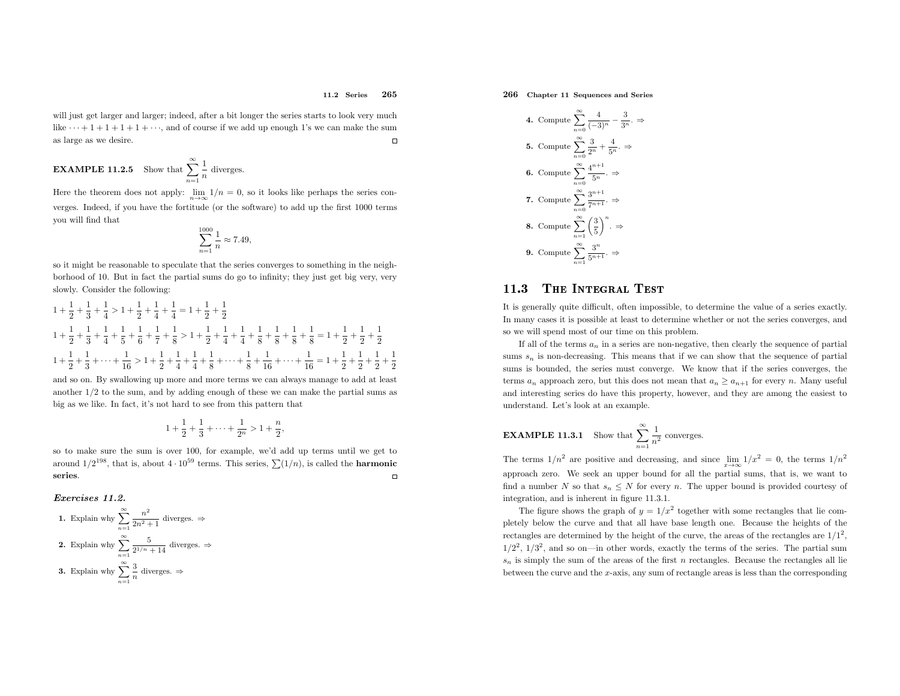### 11.2 Series <sup>265</sup>

will just get larger and larger; indeed, after a bit longer the series starts to look very much like  $\cdots + 1 + 1 + 1 + \cdots$ , and of course if we add up enough 1's we can make the sum  $\Box$ as large as we desire.

**EXAMPLE 11.2.5** Show that 
$$
\sum_{n=1}^{\infty} \frac{1}{n}
$$
 diverges.

Here the theorem does not apply:  $\lim_{n\to\infty}1/n=0$ , so it looks like perhaps the series con verges. Indeed, if you have the fortitude (or the software) to add up the first <sup>1000</sup> terms you will find that

$$
\sum_{n=1}^{1000} \frac{1}{n} \approx 7.49,
$$

so it might be reasonable to speculate that the series converges to something in the neighborhood of 10. But in fact the partial sums do go to infinity; they just get big very, veryslowly. Consider the following:

$$
1 + \frac{1}{2} + \frac{1}{3} + \frac{1}{4} > 1 + \frac{1}{2} + \frac{1}{4} + \frac{1}{4} = 1 + \frac{1}{2} + \frac{1}{2}
$$
  
\n
$$
1 + \frac{1}{2} + \frac{1}{3} + \frac{1}{4} + \frac{1}{5} + \frac{1}{6} + \frac{1}{7} + \frac{1}{8} > 1 + \frac{1}{2} + \frac{1}{4} + \frac{1}{4} + \frac{1}{8} + \frac{1}{8} + \frac{1}{8} + \frac{1}{8} + \frac{1}{8} = 1 + \frac{1}{2} + \frac{1}{2} + \frac{1}{2}
$$
  
\n
$$
1 + \frac{1}{2} + \frac{1}{3} + \dots + \frac{1}{16} > 1 + \frac{1}{2} + \frac{1}{4} + \frac{1}{4} + \frac{1}{8} + \dots + \frac{1}{8} + \frac{1}{16} + \dots + \frac{1}{16} = 1 + \frac{1}{2} + \frac{1}{2} + \frac{1}{2} + \frac{1}{2}
$$

and so on. By swallowing up more and more terms we can always manage to add at least another <sup>1</sup>/<sup>2</sup> to the sum, and by adding enoug<sup>h</sup> of these we can make the partial sums as big as we like. In fact, it's not hard to see from this pattern that

$$
1 + \frac{1}{2} + \frac{1}{3} + \dots + \frac{1}{2^n} > 1 + \frac{n}{2},
$$

so to make sure the sum is over 100, for example, we'd add up terms until we get to around  $1/2^{198}$ , that is, about  $4 \cdot 10^{59}$  terms. This series,  $\sum (1/n)$ , is called the **harmonic**  $\Box$ series.

### Exercises 11.2.

\n- **1.** Explain why 
$$
\sum_{n=1}^{\infty} \frac{n^2}{2n^2 + 1}
$$
 diverges.  $\Rightarrow$
\n- **2.** Explain why  $\sum_{n=1}^{\infty} \frac{5}{2^{1/n} + 14}$  diverges.  $\Rightarrow$
\n- **3.** Explain why  $\sum_{n=1}^{\infty} \frac{3}{n}$  diverges.  $\Rightarrow$
\n

266 Chapter <sup>11</sup> Sequences and Series

4. Compute 
$$
\sum_{n=0}^{\infty} \frac{4}{(-3)^n} - \frac{3}{3^n} \Rightarrow
$$
  
\n5. Compute 
$$
\sum_{n=0}^{\infty} \frac{3}{2^n} + \frac{4}{5^n} \Rightarrow
$$
  
\n6. Compute 
$$
\sum_{n=0}^{\infty} \frac{4^{n+1}}{5^n} \Rightarrow
$$
  
\n7. Compute 
$$
\sum_{n=0}^{\infty} \frac{3^{n+1}}{7^{n+1}} \Rightarrow
$$
  
\n8. Compute 
$$
\sum_{n=1}^{\infty} \left(\frac{3}{5}\right)^n \Rightarrow
$$
  
\n9. Compute 
$$
\sum_{n=1}^{\infty} \frac{3^n}{5^{n+1}} \Rightarrow
$$

#### 11.33 THE INTEGRAL TEST

It is generally quite difficult, often impossible, to determine the value of <sup>a</sup> series exactly. In many cases it is possible at least to determine whether or not the series converges, andso we will spend most of our time on this problem.

If all of the terms  $a_n$  in a series are non-negative, then clearly the sequence of partial sums  $s_n$  is non-decreasing. This means that if we can show that the sequence of partial sums is bounded, the series must converge. We know that if the series converges, the terms  $a_n$  approach zero, but this does not mean that  $a_n \ge a_{n+1}$  for every n. Many useful and interesting series do have this property, however, and they are among the easiest to understand. Let's look at an example.

**EXAMPLE 11.3.1** Show that 
$$
\sum_{n=1}^{\infty} \frac{1}{n^2}
$$
 converges.

The terms  $1/n^2$  are positive and decreasing, and since  $\lim_{x\to\infty} 1/x^2 = 0$ , the terms  $1/n^2$  approac<sup>h</sup> zero. We seek an upper bound for all the partial sums, that is, we want to find a number N so that  $s_n \leq N$  for every n. The upper bound is provided courtesy of integration, and is inherent in figure 11.3.1.

The figure shows the graph of  $y = 1/x^2$  together with some rectangles that lie com <sup>p</sup>letely below the curve and that all have base length one. Because the heights of the rectangles are determined by the height of the curve, the areas of the rectangles are  $1/1^2$ ,  $1/2^2$ ,  $1/3^2$ , and so on—in other words, exactly the terms of the series. The partial sum  $\mathfrak{s}_n$  is simply the sum of the areas of the first  $n$  rectangles. Because the rectangles all lie between the curve and the <sup>x</sup>-axis, any sum of rectangle areas is less than the corresponding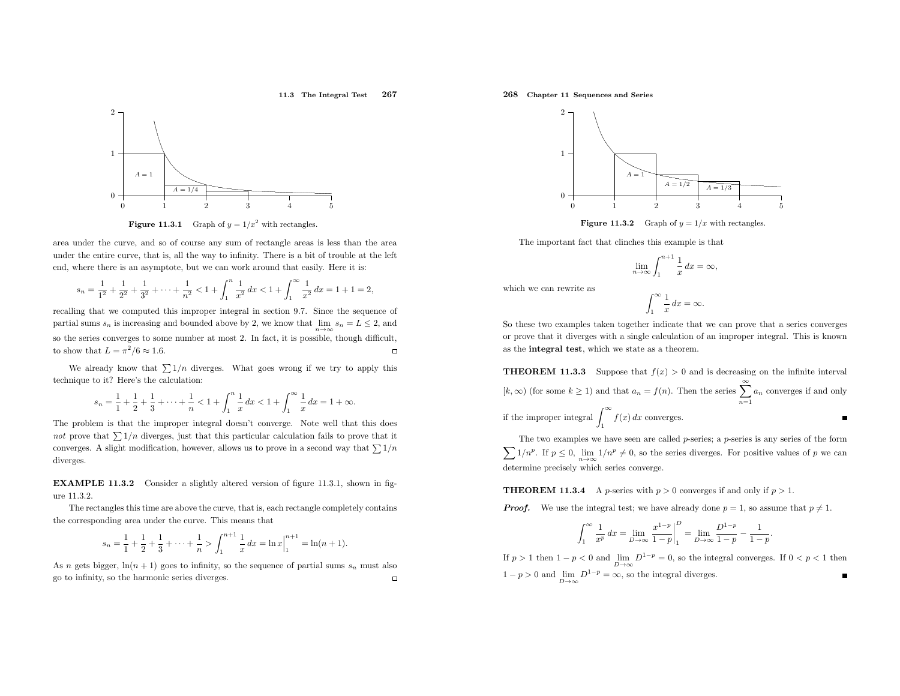### 11.3 The Integral Test <sup>267</sup>



**Figure 11.3.1** Graph of  $y = 1/x^2$  with rectangles.

area under the curve, and so of course any sum of rectangle areas is less than the area under the entire curve, that is, all the way to infinity. There is <sup>a</sup> bit of trouble at the left end, where there is an asymptote, but we can work around that easily. Here it is:

$$
s_n = \frac{1}{1^2} + \frac{1}{2^2} + \frac{1}{3^2} + \dots + \frac{1}{n^2} < 1 + \int_1^n \frac{1}{x^2} \, dx < 1 + \int_1^\infty \frac{1}{x^2} \, dx = 1 + 1 = 2,
$$

recalling that we computed this improper integral in section 9.7. Since the sequence of partial sums  $s_n$  is increasing and bounded above by 2, we know that  $\lim_{n\to\infty} s_n = L \leq 2$ , and so the series converges to some number at most 2. In fact, it is possible, though difficult, to show that  $L = \pi^2/6 \approx 1.6$ .  $\Box$ 

We already know that  $\sum 1/n$  diverges. What goes wrong if we try to apply this technique to it? Here's the calculation:

$$
s_n = \frac{1}{1} + \frac{1}{2} + \frac{1}{3} + \dots + \frac{1}{n} < 1 + \int_1^n \frac{1}{x} \, dx < 1 + \int_1^\infty \frac{1}{x} \, dx = 1 + \infty.
$$

The problem is that the improper integral doesn't converge. Note well that this does not prove that  $\sum 1/n$  diverges, just that this particular calculation fails to prove that it converges. A slight modification, however, allows us to prove in a second way that  $\sum 1/n$ diverges.

EXAMPLE 11.3.2 Consider <sup>a</sup> slightly altered version of figure 11.3.1, shown in figure 11.3.2.

The rectangles this time are above the curve, that is, each rectangle completely contains the corresponding area under the curve. This means that

$$
s_n = \frac{1}{1} + \frac{1}{2} + \frac{1}{3} + \dots + \frac{1}{n} > \int_1^{n+1} \frac{1}{x} dx = \ln x \Big|_1^{n+1} = \ln(n+1).
$$

As *n* gets bigger,  $\ln(n + 1)$  goes to infinity, so the sequence of partial sums  $s_n$  must also go to infinity, so the harmonic series diverges.

### 268 Chapter <sup>11</sup> Sequences and Series



**Figure 11.3.2** Graph of  $y = 1/x$  with rectangles.

The important fact that clinches this example is that

$$
\lim_{n \to \infty} \int_{1}^{n+1} \frac{1}{x} dx = \infty,
$$

which we can rewrite as

$$
\int_{1}^{\infty} \frac{1}{x} \, dx = \infty.
$$

So these two examples taken together indicate that we can prove that <sup>a</sup> series converges or prove that it diverges with <sup>a</sup> single calculation of an improper integral. This is knownas the integral test, which we state as <sup>a</sup> theorem.

**THEOREM 11.3.3** Suppose that  $f(x) > 0$  and is decreasing on the infinite interval  $(k, \infty)$  (for some  $k \geq 1$ ) and that  $a_n = f(n)$ . Then the series  $\sum_{n=1}^{\infty}$  $\sum_{n=1}^{n} a_n$  converges if and only if the improper integral  $\int_1^\infty f(x) dx$  converges.  $\blacksquare$ 

 $\sum$ The two examples we have seen are called  $p$ -series; a  $p$ -series is any series of the form  $1/n^p$ . If  $p \leq 0$ ,  $\lim_{n \to \infty} 1/n^p \neq 0$ , so the series diverges. For positive values of p we can determine precisely which series converge.

# **THEOREM 11.3.4** A *p*-series with  $p > 0$  converges if and only if  $p > 1$ .

**Proof.** We use the integral test; we have already done  $p = 1$ , so assume that  $p \neq 1$ .

$$
\int_{1}^{\infty} \frac{1}{x^{p}} dx = \lim_{D \to \infty} \frac{x^{1-p}}{1-p} \bigg|_{1}^{D} = \lim_{D \to \infty} \frac{D^{1-p}}{1-p} - \frac{1}{1-p}.
$$

If  $p > 1$  then  $1 - p < 0$  and  $\lim_{D \to \infty} D^{1-p} = 0$ , so the integral converges. If  $0 < p < 1$  then  $1 - p > 0$  and  $\lim_{D \to \infty} D^{1-p} = \infty$ , so the integral diverges.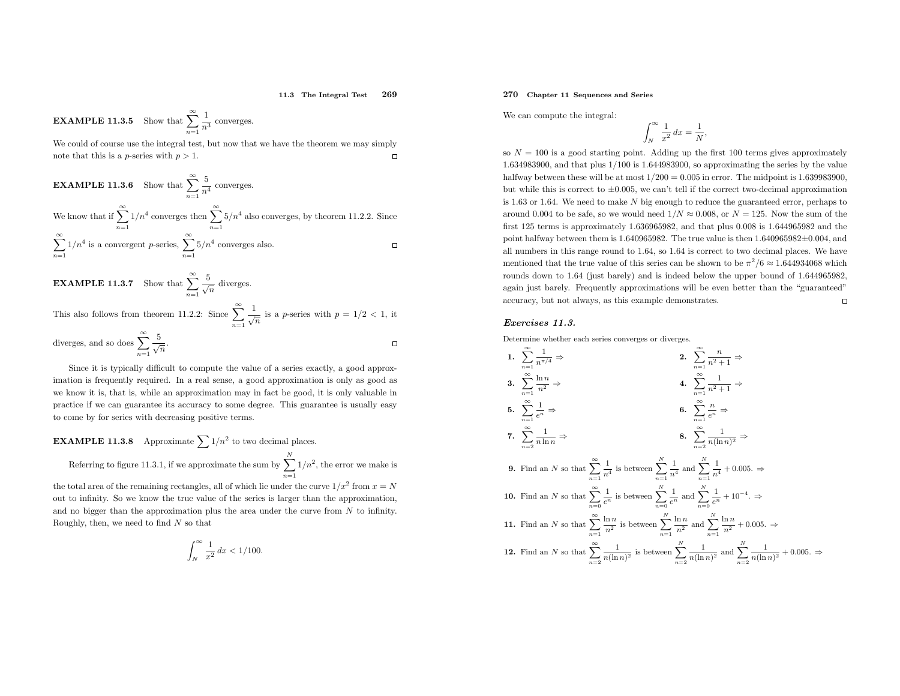#### 11.3 The Integral Test <sup>269</sup>

 $\Box$ 

**EXAMPLE 11.3.5** Show that  $\sum_{n=1}^{\infty}$  $\frac{1}{n^3}$  converges.

 We could of course use the integral test, but now that we have the theorem we may simply $\Box$ note that this is a *p*-series with  $p > 1$ .

**EXAMPLE 11.3.6** Show that 
$$
\sum_{n=1}^{\infty} \frac{5}{n^4}
$$
 converges.  
We know that if 
$$
\sum_{n=1}^{\infty} 1/n^4
$$
 converges then 
$$
\sum_{n=1}^{\infty} 5/n^4
$$
 also converges, by theorem 11.2.2. Since 
$$
\sum_{n=1}^{\infty} 1/n^4
$$
 is a convergent *p*-series, 
$$
\sum_{n=1}^{\infty} 5/n^4
$$
 converges also.
$$
\Box
$$
**EXAMPLE 11.3.7** Show that 
$$
\sum_{n=1}^{\infty} \frac{5}{\sqrt{n}}
$$
 diverges.

This also follows from theorem 11.2.2: Since  $\sum_{n=1}^{\infty}$  $\frac{1}{\sqrt{n}}$  is a *p*-series with  $p = 1/2 < 1$ , it

diverges, and so does 
$$
\sum_{n=1}^{\infty} \frac{5}{\sqrt{n}}
$$
.

Since it is typically difficult to compute the value of <sup>a</sup> series exactly, <sup>a</sup> good approximation is frequently required. In <sup>a</sup> real sense, <sup>a</sup> good approximation is only as good as we know it is, that is, while an approximation may in fact be good, it is only valuable in practice if we can guarantee its accuracy to some degree. This guarantee is usually easyto come by for series with decreasing positive terms.

**EXAMPLE 11.3.8** Approximate 
$$
\sum 1/n^2
$$
 to two decimal places.  
Referring to figure 11.3.1, if we approximate the sum by  $\sum_{n=1}^{N} 1/n^2$ , the error we make is the total area of the remaining rectangles, all of which lie under the curve  $1/x^2$  from  $x = N$ 

the total area of the remaining rectangles, all of which lie under the curve  $1/x$  from  $x = N$  out to infinity. So we know the true value of the series is larger than the approximation, and no bigger than the approximation plus the area under the curve from  $N$  to infinity. Roughly, then, we need to find  $N$  so that

$$
\int_{N}^{\infty} \frac{1}{x^2} dx < 1/100.
$$

## 270 Chapter <sup>11</sup> Sequences and Series

We can compute the integral:

$$
\int_{N}^{\infty} \frac{1}{x^2} dx = \frac{1}{N},
$$

so  $N = 100$  is a good starting point. Adding up the first 100 terms gives approximately <sup>1</sup>.634983900, and that <sup>p</sup>lus <sup>1</sup>/<sup>100</sup> is <sup>1</sup>.644983900, so approximating the series by the value halfway between these will be at most  $1/200 = 0.005$  in error. The midpoint is 1.639983900, but while this is correct to <sup>±</sup>0.005, we can't tell if the correct two-decimal approximationis 1.63 or 1.64. We need to make  $N$  big enough to reduce the guaranteed error, perhaps to around 0.004 to be safe, so we would need  $1/N \approx 0.008$ , or  $N = 125$ . Now the sum of the first <sup>125</sup> terms is approximately <sup>1</sup>.636965982, and that <sup>p</sup>lus <sup>0</sup>.<sup>008</sup> is <sup>1</sup>.<sup>644965982</sup> and the point halfway between them is <sup>1</sup>.640965982. The true value is then <sup>1</sup>.<sup>640965982</sup> <sup>±</sup>0.004, and all numbers in this range round to <sup>1</sup>.64, so <sup>1</sup>.<sup>64</sup> is correct to two decimal <sup>p</sup>laces. We have mentioned that the true value of this series can be shown to be  $\pi^2/6 \approx 1.644934068$  which rounds down to <sup>1</sup>.<sup>64</sup> (just barely) and is indeed below the upper bound of <sup>1</sup>.644965982, again just barely. Frequently approximations will be even better than the "guaranteed" accuracy, but not always, as this example demonstrates.  $\Box$ 

### Exercises 11.3.

Determine whether each series converges or diverges.

1. 
$$
\sum_{n=1}^{\infty} \frac{1}{n^{\pi/4}} \Rightarrow
$$
\n2. 
$$
\sum_{n=1}^{\infty} \frac{n}{n^2 + 1} \Rightarrow
$$
\n3. 
$$
\sum_{n=1}^{\infty} \frac{\ln n}{n^2} \Rightarrow
$$
\n4. 
$$
\sum_{n=1}^{\infty} \frac{1}{n^2 + 1} \Rightarrow
$$
\n5. 
$$
\sum_{n=1}^{\infty} \frac{1}{e^n} \Rightarrow
$$
\n6. 
$$
\sum_{n=1}^{\infty} \frac{n}{e^n} \Rightarrow
$$
\n7. 
$$
\sum_{n=2}^{\infty} \frac{1}{n \ln n} \Rightarrow
$$
\n8. 
$$
\sum_{n=2}^{\infty} \frac{1}{n(\ln n)^2} \Rightarrow
$$
\n9. Find an *N* so that 
$$
\sum_{n=1}^{\infty} \frac{1}{n^4}
$$
 is between 
$$
\sum_{n=1}^{N} \frac{1}{n^4}
$$
 and 
$$
\sum_{n=1}^{N} \frac{1}{n^4} + 0.005.
$$
\n
$$
\Rightarrow
$$
\n10. Find an *N* so that 
$$
\sum_{n=0}^{\infty} \frac{1}{e^n}
$$
 is between 
$$
\sum_{n=0}^{N} \frac{1}{e^n}
$$
 and 
$$
\sum_{n=1}^{N} \frac{1}{n^2} + 10^{-4}.
$$
\n
$$
\Rightarrow
$$
\n11. Find an *N* so that 
$$
\sum_{n=1}^{\infty} \frac{\ln n}{n^2}
$$
 is between 
$$
\sum_{n=1}^{N} \frac{\ln n}{n^2}
$$
 and 
$$
\sum_{n=1}^{N} \frac{\ln n}{n^2} + 0.005.
$$
\n
$$
\Rightarrow
$$
\n12. Find an *N* so that 
$$
\sum_{n=2}^{\infty} \frac{1}{n(\ln n)^2}
$$
 is between 
$$
\sum_{n=2}^{\infty} \frac{1}{n(\ln n)^2}
$$
 and 
$$
\sum_{n=2}^{\infty} \frac{1}{n(\ln n)^2} + 0.005.
$$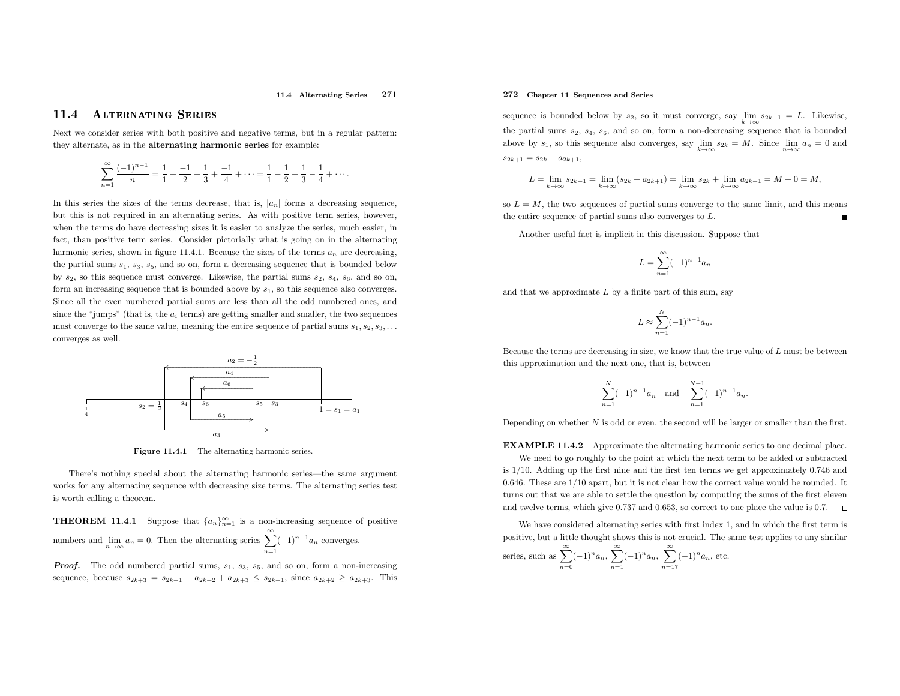### 11.4 Alternating Series <sup>271</sup>

#### 11.4Alternating Series

Next we consider series with both positive and negative terms, but in <sup>a</sup> regular pattern: they alternate, as in the alternating harmonic series for example:

$$
\sum_{n=1}^{\infty} \frac{(-1)^{n-1}}{n} = \frac{1}{1} + \frac{-1}{2} + \frac{1}{3} + \frac{-1}{4} + \dots = \frac{1}{1} - \frac{1}{2} + \frac{1}{3} - \frac{1}{4} + \dots
$$

In this series the sizes of the terms decrease, that is,  $|a_n|$  forms a decreasing sequence, but this is not required in an alternating series. As with positive term series, however, when the terms do have decreasing sizes it is easier to analyze the series, much easier, in fact, than positive term series. Consider <sup>p</sup>ictorially what is going on in the alternating harmonic series, shown in figure 11.4.1. Because the sizes of the terms  $a_n$  are decreasing, the partial sums  $s_1$ ,  $s_3$ ,  $s_5$ , and so on, form a decreasing sequence that is bounded below by  $s_2$ , so this sequence must converge. Likewise, the partial sums  $s_2$ ,  $s_4$ ,  $s_6$ , and so on, form an increasing sequence that is bounded above by  $s_1$ , so this sequence also converges. Since all the even numbered partial sums are less than all the odd numbered ones, andsince the "jumps" (that is, the  $a_i$  terms) are getting smaller and smaller, the two sequences must converge to the same value, meaning the entire sequence of partial sums  $s_1, s_2, s_3, \ldots$ converges as well.



**Figure 11.4.1** The alternating harmonic series.

There's nothing special about the alternating harmonic series—the same argument works for any alternating sequence with decreasing size terms. The alternating series test is worth calling <sup>a</sup> theorem.

**THEOREM 11.4.1** Suppose that  $\{a_n\}_{n=1}^{\infty}$  is a non-increasing sequence of positive numbers and  $\lim_{n\to\infty} a_n = 0$ . Then the alternating series  $\sum_{n=1}^{\infty} a_n$  $\sum_{n=1}^{\infty}(-1)^{n-1}a_n$  converges.

**Proof.** The odd numbered partial sums,  $s_1$ ,  $s_3$ ,  $s_5$ , and so on, form a non-increasing sequence, because  $s_{2k+3} = s_{2k+1} - a_{2k+2} + a_{2k+3} \leq s_{2k+1}$ , since  $a_{2k+2} \geq a_{2k+3}$ . This

### 272 Chapter <sup>11</sup> Sequences and Series

sequence is bounded below by  $s_2$ , so it must converge, say  $\lim_{k\to\infty} s_{2k+1} = L$ . Likewise, the partial sums  $s_2$ ,  $s_4$ ,  $s_6$ , and so on, form a non-decreasing sequence that is bounded above by  $s_1$ , so this sequence also converges, say  $\lim_{k\to\infty} s_{2k} = M$ . Since  $\lim_{n\to\infty} a_n = 0$  and  $s_{2k+1} = s_{2k} + a_{2k+1}$ .  $s_{2k+1} = s_{2k} + a_{2k+1},$ 

$$
L = \lim_{k \to \infty} s_{2k+1} = \lim_{k \to \infty} (s_{2k} + a_{2k+1}) = \lim_{k \to \infty} s_{2k} + \lim_{k \to \infty} a_{2k+1} = M + 0 = M,
$$

so  $L = M$ , the two sequences of partial sums converge to the same limit, and this means the entire sequence of partial sums also converges to  $L$ .

Another useful fact is implicit in this discussion. Suppose that

$$
L = \sum_{n=1}^{\infty} (-1)^{n-1} a_n
$$

and that we approximate  $L$  by a finite part of this sum, say

$$
L \approx \sum_{n=1}^{N} (-1)^{n-1} a_n.
$$

Because the terms are decreasing in size, we know that the true value of  $L$  must be between this approximation and the next one, that is, between

$$
\sum_{n=1}^{N} (-1)^{n-1} a_n \quad \text{and} \quad \sum_{n=1}^{N+1} (-1)^{n-1} a_n.
$$

Depending on whether  $N$  is odd or even, the second will be larger or smaller than the first.

EXAMPLE 11.4.2 Approximate the alternating harmonic series to one decimal <sup>p</sup>lace. We need to go roughly to the point at which the next term to be added or subtracted is <sup>1</sup>/10. Adding up the first nine and the first ten terms we get approximately <sup>0</sup>.<sup>746</sup> and <sup>0</sup>.646. These are <sup>1</sup>/<sup>10</sup> apart, but it is not clear how the correct value would be rounded. It turns out that we are able to settle the question by computing the sums of the first elevenand twelve terms, which <sup>g</sup>ive <sup>0</sup>.<sup>737</sup> and <sup>0</sup>.653, so correct to one <sup>p</sup>lace the value is <sup>0</sup>.7.

We have considered alternating series with first index 1, and in which the first term is positive, but <sup>a</sup> little thought shows this is not crucial. The same test applies to any similar series, such as  $\sum^{\infty}$  $\sum_{n=0}(-1)^n a_n, \sum_{n=1}$ ∞  $\sum_{n=1}^{\infty}(-1)^n a_n, \sum_{n=1}^{\infty}$ ∞  $\sum_{n=17}(-1)^n a_n$ , etc.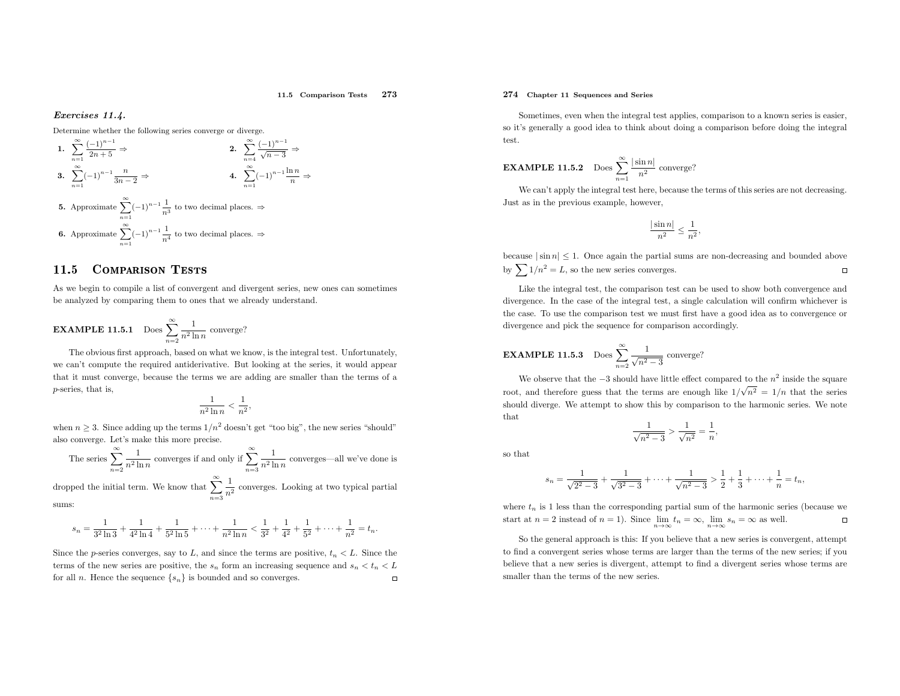#### 11.5 Comparison Tests <sup>273</sup>

### Exercises 11.4.

Determine whether the following series converge or diverge.

1. 
$$
\sum_{n=1}^{\infty} \frac{(-1)^{n-1}}{2n+5} \Rightarrow
$$
  
\n2. 
$$
\sum_{n=4}^{\infty} \frac{(-1)^{n-1}}{\sqrt{n-3}} \Rightarrow
$$
  
\n3. 
$$
\sum_{n=1}^{\infty} (-1)^{n-1} \frac{n}{3n-2} \Rightarrow
$$
  
\n4. 
$$
\sum_{n=1}^{\infty} (-1)^{n-1} \frac{\ln n}{n} \Rightarrow
$$
  
\n5. Approximate 
$$
\sum_{n=1}^{\infty} (-1)^{n-1} \frac{1}{n^3}
$$
 to two decimal places.  $\Rightarrow$   
\n6. Approximate 
$$
\sum_{n=1}^{\infty} (-1)^{n-1} \frac{1}{n^4}
$$
 to two decimal places.  $\Rightarrow$ 

#### 11.5Comparison Tests

As we begin to compile <sup>a</sup> list of convergent and divergent series, new ones can sometimes be analyzed by comparing them to ones that we already understand.

**EXAMPLE 11.5.1** Does 
$$
\sum_{n=2}^{\infty} \frac{1}{n^2 \ln n}
$$
 converge?

The obvious first approach, based on what we know, is the integral test. Unfortunately, we can't compute the required antiderivative. But looking at the series, it would appear that it must converge, because the terms we are adding are smaller than the terms of <sup>a</sup> <sup>p</sup>-series, that is,

$$
\frac{1}{n^2\ln n} < \frac{1}{n^2},
$$

when  $n \geq 3$ . Since adding up the terms  $1/n^2$  doesn't get "too big", the new series "should" also converge. Let's make this more precise.

The series 
$$
\sum_{n=2}^{\infty} \frac{1}{n^2 \ln n}
$$
 converges if and only if 
$$
\sum_{n=3}^{\infty} \frac{1}{n^2 \ln n}
$$
 converges—all we've done is

dropped the initial term. We know that  $\sum_{n=3}^{\infty}$  $\frac{1}{n^2}$  converges. Looking at two typical partial sums:

$$
s_n = \frac{1}{3^2 \ln 3} + \frac{1}{4^2 \ln 4} + \frac{1}{5^2 \ln 5} + \dots + \frac{1}{n^2 \ln n} < \frac{1}{3^2} + \frac{1}{4^2} + \frac{1}{5^2} + \dots + \frac{1}{n^2} = t_n.
$$

Since the *p*-series converges, say to L, and since the terms are positive,  $t_n < L$ . Since the terms of the new series are positive, the  $s_n$  form an increasing sequence and  $s_n < t_n < L$  $\Box$ for all n. Hence the sequence  $\{s_n\}$  is bounded and so converges.

### 274 Chapter <sup>11</sup> Sequences and Series

Sometimes, even when the integral test applies, comparison to <sup>a</sup> known series is easier, so it's generally <sup>a</sup> good idea to think about doing <sup>a</sup> comparison before doing the integral test.

**EXAMPLE 11.5.2** Does 
$$
\sum_{n=1}^{\infty} \frac{|\sin n|}{n^2}
$$
 converge?

 We can't apply the integral test here, because the terms of this series are not decreasing. Just as in the previous example, however,

$$
\frac{|\sin n|}{n^2} \le \frac{1}{n^2},
$$

because  $|\sin n| \leq 1$ . Once again the partial sums are non-decreasing and bounded above by  $\sum 1/n^2 = L$ , so the new series converges.

Like the integral test, the comparison test can be used to show both convergence and divergence. In the case of the integral test, <sup>a</sup> single calculation will confirm whichever is the case. To use the comparison test we must first have <sup>a</sup> good idea as to convergence or divergence and <sup>p</sup>ick the sequence for comparison accordingly.

**EXAMPLE 11.5.3** Does 
$$
\sum_{n=2}^{\infty} \frac{1}{\sqrt{n^2 - 3}}
$$
 converge?

We observe that the  $-3$  should have little effect compared to the  $n^2$  inside the square root, and therefore guess that the terms are enough like  $1/\sqrt{n^2} = 1/n$  that the series should diverge. We attempt to show this by comparison to the harmonic series. We note that

$$
\frac{1}{\sqrt{n^2 - 3}} > \frac{1}{\sqrt{n^2}} = \frac{1}{n},
$$

so that

$$
s_n = \frac{1}{\sqrt{2^2 - 3}} + \frac{1}{\sqrt{3^2 - 3}} + \dots + \frac{1}{\sqrt{n^2 - 3}} > \frac{1}{2} + \frac{1}{3} + \dots + \frac{1}{n} = t_n,
$$

where  $t_n$  is 1 less than the corresponding partial sum of the harmonic series (because we start at  $n = 2$  instead of  $n = 1$ ). Since  $\lim_{n \to \infty} t_n = \infty$ ,  $\lim_{n \to \infty} s_n = \infty$  as well.

 So the genera<sup>l</sup> approac<sup>h</sup> is this: If you believe that <sup>a</sup> new series is convergent, attempt to find <sup>a</sup> convergent series whose terms are larger than the terms of the new series; if you believe that <sup>a</sup> new series is divergent, attempt to find <sup>a</sup> divergent series whose terms are smaller than the terms of the new series.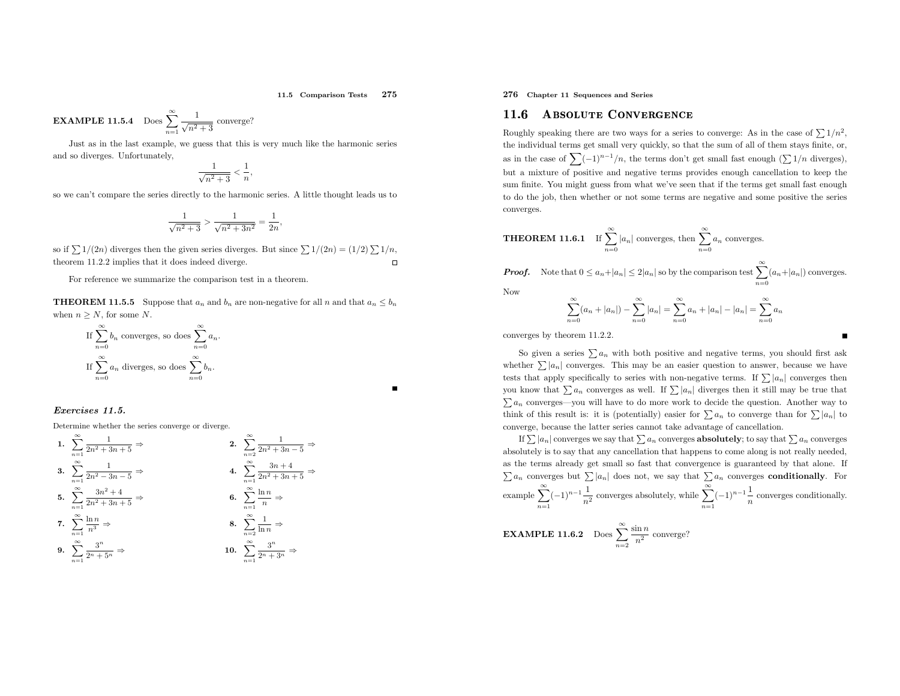11.5 Comparison Tests <sup>275</sup>

**EXAMPLE 11.5.4** Does 
$$
\sum_{n=1}^{\infty} \frac{1}{\sqrt{n^2 + 3}}
$$
 converge?

Just as in the last example, we guess that this is very much like the harmonic series and so diverges. Unfortunately,

$$
\frac{1}{\sqrt{n^2+3}} < \frac{1}{n}
$$

so we can't compare the series directly to the harmonic series. <sup>A</sup> little thought leads us to

$$
\frac{1}{\sqrt{n^2+3}} > \frac{1}{\sqrt{n^2+3n^2}} = \frac{1}{2n},
$$

so if  $\sum 1/(2n)$  diverges then the given series diverges. But since  $\sum 1/(2n) = (1/2) \sum 1/n$ , theorem 11.2.2 implies that it does indeed diverge.  $\Box$ 

For reference we summarize the comparison test in <sup>a</sup> theorem.

**THEOREM 11.5.5** Suppose that  $a_n$  and  $b_n$  are non-negative for all n and that  $a_n \leq b_n$ when  $n \geq N$ , for some N.

If 
$$
\sum_{n=0}^{\infty} b_n
$$
 converges, so does  $\sum_{n=0}^{\infty} a_n$ .  
If  $\sum_{n=0}^{\infty} a_n$  diverges, so does  $\sum_{n=0}^{\infty} b_n$ .

### Exercises 11.5.

Determine whether the series converge or diverge.

1. 
$$
\sum_{n=1}^{\infty} \frac{1}{2n^2 + 3n + 5} \Rightarrow
$$
  
\n2. 
$$
\sum_{n=2}^{\infty} \frac{1}{2n^2 + 3n - 5} \Rightarrow
$$
  
\n3. 
$$
\sum_{n=1}^{\infty} \frac{1}{2n^2 - 3n - 5} \Rightarrow
$$
  
\n4. 
$$
\sum_{n=1}^{\infty} \frac{3n + 4}{2n^2 + 3n + 5} \Rightarrow
$$
  
\n5. 
$$
\sum_{n=1}^{\infty} \frac{3n^2 + 4}{2n^2 + 3n + 5} \Rightarrow
$$
  
\n6. 
$$
\sum_{n=1}^{\infty} \frac{\ln n}{n} \Rightarrow
$$
  
\n7. 
$$
\sum_{n=1}^{\infty} \frac{\ln n}{n^3} \Rightarrow
$$
  
\n8. 
$$
\sum_{n=2}^{\infty} \frac{1}{\ln n} \Rightarrow
$$
  
\n9. 
$$
\sum_{n=1}^{\infty} \frac{3^n}{2^n + 5^n} \Rightarrow
$$
  
\n10. 
$$
\sum_{n=1}^{\infty} \frac{3^n}{2^n + 3^n} \Rightarrow
$$

276 Chapter <sup>11</sup> Sequences and Series

#### 11.66 ABSOLUTE CONVERGENCE

Roughly speaking there are two ways for a series to converge: As in the case of  $\sum 1/n^2$ , the individual terms get small very quickly, so that the sum of all of them stays finite, or, as in the case of  $\sum (-1)^{n-1}/n$ , the terms don't get small fast enough  $(\sum 1/n$  diverges), but <sup>a</sup> mixture of positive and negative terms provides enoug<sup>h</sup> cancellation to keep the sum finite. You might guess from what we've seen that if the terms get small fast enoug<sup>h</sup> to do the job, then whether or not some terms are negative and some positive the series converges.

**THEOREM 11.6.1** If 
$$
\sum_{n=0}^{\infty} |a_n|
$$
 converges, then  $\sum_{n=0}^{\infty} a_n$  converges.

**Proof.** Note that  $0 \le a_n + |a_n| \le 2|a_n|$  so by the comparison test  $\sum_{n=0}^{\infty} (a_n + |a_n|)$  converges.

Now

$$
\sum_{n=0}^{\infty} (a_n + |a_n|) - \sum_{n=0}^{\infty} |a_n| = \sum_{n=0}^{\infty} a_n + |a_n| - |a_n| = \sum_{n=0}^{\infty} a_n
$$

converges by theorem 11.2.2.

So given a series  $\sum a_n$  with both positive and negative terms, you should first ask whether  $\sum |a_n|$  converges. This may be an easier question to answer, because we have tests that apply specifically to series with non-negative terms. If  $\sum |a_n|$  converges then you know that  $\sum a_n$  converges as well. If  $\sum |a_n|$  diverges then it still may be true that  $\sum a_n$  converges—you will have to do more work to decide the question. Another way to think of this result is: it is (potentially) easier for  $\sum a_n$  to converge than for  $\sum |a_n|$  to converge, because the latter series cannot take advantage of cancellation.

If  $\sum |a_n|$  converges we say that  $\sum a_n$  converges **absolutely**; to say that  $\sum a_n$  converges absolutely is to say that any cancellation that happens to come along is not really needed, as the terms already get small so fast that convergence is guaranteed by that alone. If  $\sum a_n$  converges but  $\sum |a_n|$  does not, we say that  $\sum a_n$  converges **conditionally**. For example  $\sum_{n=1}^{\infty}(-1)^{n-1}\frac{1}{n^2}$  converges absolutely, while  $\sum_{n=1}^{\infty}(-1)^{n-1}\frac{1}{n}$  converges conditionally.

**EXAMPLE 11.6.2** Does  $\sum_{n=2}^{\infty}$  $\frac{\sin n}{n^2}$  converge?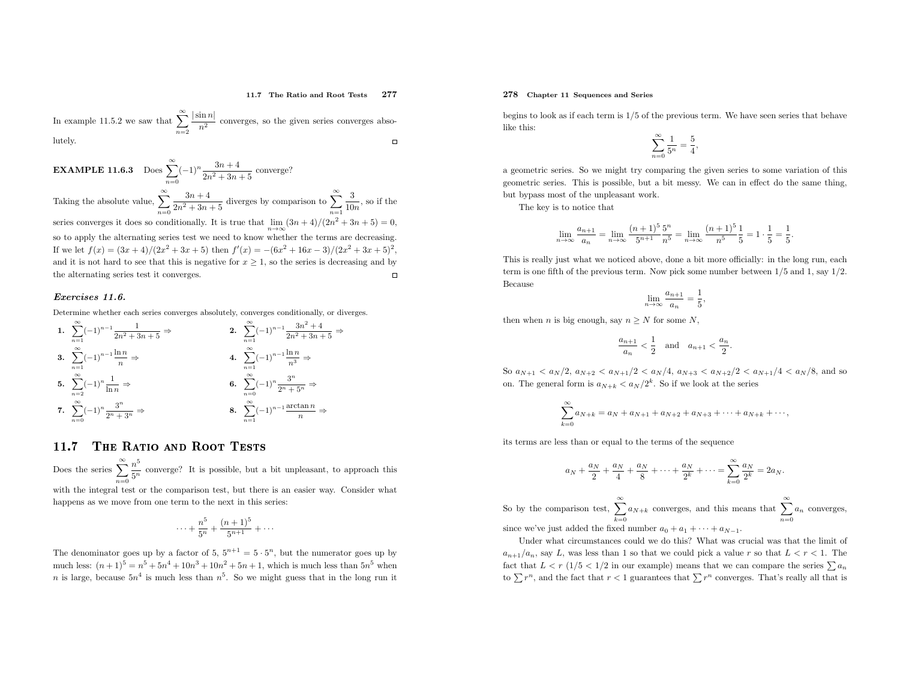#### 11.7 The Ratio and Root Tests <sup>277</sup>

In example 11.5.2 we saw that  $\sum_{n=2}^{\infty}$  $\frac{|\sin n|}{n^2}$  converges, so the given series converges absolutely. $\Box$ 

**EXAMPLE 11.6.3** Does  $\sum_{n=0}^{\infty} (-1)^n \frac{3n+4}{2n^2+3n+5}$  converge? Taking the absolute value,  $\sum_{n=0}^{\infty}$ series converges it does so conditionally. It is true that  $\lim_{n\to\infty} (3n+4)/(2n^2+3n+5)=0$ ,  $\frac{3n+4}{2n^2+3n+5}$  diverges by comparison to  $\sum_{n=1}^{\infty}$  $\frac{3}{10n}$ , so if the so to apply the alternating series test we need to know whether the terms are decreasing. If we let  $f(x) = (3x+4)/(2x^2+3x+5)$  then  $f'(x) = -(6x^2+16x-3)/(2x^2+3x+5)^2$ , and it is not hard to see that this is negative for  $x \geq 1$ , so the series is decreasing and by the alternating series test it converges.

### Exercises 11.6.

Determine whether each series converges absolutely, converges conditionally, or diverges.

1. 
$$
\sum_{n=1}^{\infty} (-1)^{n-1} \frac{1}{2n^2 + 3n + 5} \Rightarrow
$$
  
\n2. 
$$
\sum_{n=1}^{\infty} (-1)^{n-1} \frac{3n^2 + 4}{2n^2 + 3n + 5} \Rightarrow
$$
  
\n3. 
$$
\sum_{n=1}^{\infty} (-1)^{n-1} \frac{\ln n}{n} \Rightarrow
$$
  
\n4. 
$$
\sum_{n=1}^{\infty} (-1)^{n-1} \frac{\ln n}{n^3} \Rightarrow
$$
  
\n5. 
$$
\sum_{n=2}^{\infty} (-1)^n \frac{1}{\ln n} \Rightarrow
$$
  
\n6. 
$$
\sum_{n=0}^{\infty} (-1)^n \frac{3^n}{2^n + 5^n} \Rightarrow
$$
  
\n7. 
$$
\sum_{n=0}^{\infty} (-1)^n \frac{3^n}{2^n + 3^n} \Rightarrow
$$
  
\n8. 
$$
\sum_{n=1}^{\infty} (-1)^{n-1} \frac{\arctan n}{n} \Rightarrow
$$

#### 11.7The Ratio and Root Tests

Does the series  $\sum_{n=1}^{\infty} \frac{n}{5}$  $n=0$  with the integral test or the comparison test, but there is an easier way. Consider what  $\frac{n^5}{5^n}$  converge? It is possible, but a bit unpleasant, to approach this

happens as we move from one term to the next in this series:

$$
\cdots + \frac{n^5}{5^n} + \frac{(n+1)^5}{5^{n+1}} + \cdots
$$

The denominator goes up by a factor of 5,  $5^{n+1} = 5 \cdot 5^n$ , but the numerator goes up by much less:  $(n+1)^5 = n^5 + 5n^4 + 10n^3 + 10n^2 + 5n + 1$ , which is much less than  $5n^5$  when much less:  $(n+1)^{2} = n^{2} + 3n^{2} + 10n^{2} + 10n^{2} + 3n + 1$ , which is much less than  $n^{2}$  when <br>*n* is large, because  $5n^{4}$  is much less than  $n^{5}$ . So we might guess that in the long run it

### 278 Chapter <sup>11</sup> Sequences and Series

begins to look as if each term is  $1/5$  of the previous term. We have seen series that behave like this:

$$
\sum_{n=0}^{\infty} \frac{1}{5^n} = \frac{5}{4},
$$

<sup>a</sup> geometric series. So we might try comparing the <sup>g</sup>iven series to some variation of this geometric series. This is possible, but <sup>a</sup> bit messy. We can in effect do the same thing, but bypass most of the unpleasant work.

The key is to notice that

$$
\lim_{n \to \infty} \frac{a_{n+1}}{a_n} = \lim_{n \to \infty} \frac{(n+1)^5}{5^{n+1}} \frac{5^n}{n^5} = \lim_{n \to \infty} \frac{(n+1)^5}{n^5} \frac{1}{5} = 1 \cdot \frac{1}{5} = \frac{1}{5}.
$$

This is really just what we noticed above, done <sup>a</sup> bit more officially: in the long run, each term is one fifth of the previous term. Now <sup>p</sup>ick some number between <sup>1</sup>/<sup>5</sup> and 1, say <sup>1</sup>/2. Because

$$
\lim_{n \to \infty} \frac{a_{n+1}}{a_n} = \frac{1}{5}
$$

then when *n* is big enough, say  $n \geq N$  for some N,

$$
\frac{a_{n+1}}{a_n} < \frac{1}{2} \quad \text{and} \quad a_{n+1} < \frac{a_n}{2}
$$

So  $a_{N+1} < a_N/2$ ,  $a_{N+2} < a_{N+1}/2 < a_N/4$ ,  $a_{N+3} < a_{N+2}/2 < a_{N+1}/4 < a_N/8$ , and so on. The general form is  $a_{N+k} < a_N/2^k$ . So if we look at the series

$$
\sum_{k=0}^{\infty} a_{N+k} = a_N + a_{N+1} + a_{N+2} + a_{N+3} + \dots + a_{N+k} + \dots,
$$

its terms are less than or equa<sup>l</sup> to the terms of the sequence

$$
a_N + \frac{a_N}{2} + \frac{a_N}{4} + \frac{a_N}{8} + \dots + \frac{a_N}{2^k} + \dots = \sum_{k=0}^{\infty} \frac{a_N}{2^k} = 2a_N.
$$

So by the comparison test,  $\sum_{k=0}^{\infty} a_{N+k}$  converges, and this means that  $\sum_{n=0}^{\infty} a_n$  converges,

since we've just added the fixed number  $a_0 + a_1 + \cdots + a_{N-1}$ .

Under what circumstances could we do this? What was crucial was that the limit of  $a_{n+1}/a_n$ , say L, was less than 1 so that we could pick a value r so that  $L < r < 1$ . The fact that  $L < r$  (1/5 < 1/2 in our example) means that we can compare the series  $\sum a_n$ to  $\sum r^n$ , and the fact that  $r < 1$  guarantees that  $\sum r^n$  converges. That's really all that is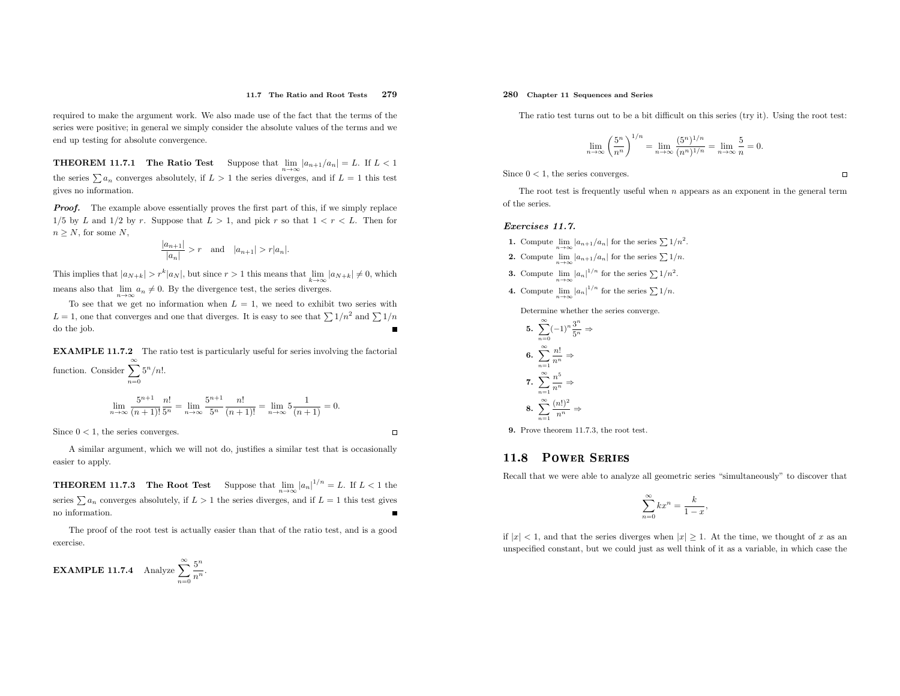#### 11.7 The Ratio and Root Tests <sup>279</sup>

required to make the argument work. We also made use of the fact that the terms of the series were positive; in genera<sup>l</sup> we simply consider the absolute values of the terms and we end up testing for absolute convergence.

**THEOREM 11.7.1** The Ratio Test Suppose that  $\lim_{n\to\infty} |a_{n+1}/a_n| = L$ . If  $L < 1$ the series  $\sum a_n$  converges absolutely, if  $L > 1$  the series diverges, and if  $L = 1$  this test <sup>g</sup>ives no information.

**Proof.** The example above essentially proves the first part of this, if we simply replace 1/5 by L and 1/2 by r. Suppose that  $L > 1$ , and pick r so that  $1 < r < L$ . Then for  $n \geq N$ , for some  $N$ ,

$$
\frac{|a_{n+1}|}{|a_n|} > r \quad \text{and} \quad |a_{n+1}| > r|a_n|.
$$

This implies that  $|a_{N+k}| > r^k |a_N|$ , but since  $r > 1$  this means that  $\lim_{k \to \infty} |a_{N+k}| \neq 0$ , which means also that  $\lim_{n\to\infty} a_n \neq 0$ . By the divergence test, the series diverges.

To see that we get no information when  $L = 1$ , we need to exhibit two series with  $L = 1$ , one that converges and one that diverges. It is easy to see that  $\sum 1/n^2$  and  $\sum 1/n$ do the job.

EXAMPLE 11.7.2 The ratio test is particularly useful for series involving the factorial function. Consider  $\sum_{n=0}^{\infty}$  $5^n/n!$ .

$$
\lim_{n \to \infty} \frac{5^{n+1}}{(n+1)!} \frac{n!}{5^n} = \lim_{n \to \infty} \frac{5^{n+1}}{5^n} \frac{n!}{(n+1)!} = \lim_{n \to \infty} 5 \frac{1}{(n+1)} = 0.
$$

Since  $0 < 1$ , the series converges.

<sup>A</sup> similar argument, which we will not do, justifies <sup>a</sup> similar test that is occasionallyeasier to apply.

**THEOREM 11.7.3** The Root Test Suppose that  $\lim_{n\to\infty} |a_n|^{1/n} = L$ . If  $L < 1$  the series  $\sum a_n$  converges absolutely, if  $L > 1$  the series diverges, and if  $L = 1$  this test gives no information.

The proo<sup>f</sup> of the root test is actually easier than that of the ratio test, and is <sup>a</sup> goodexercise.

**EXAMPLE 11.7.4** Analyze  $\sum_{n=0}^{\infty}$  $rac{5^n}{n^n}$ 

### 280 Chapter <sup>11</sup> Sequences and Series

The ratio test turns out to be <sup>a</sup> bit difficult on this series (try it). Using the root test:

$$
\lim_{n \to \infty} \left(\frac{5^n}{n^n}\right)^{1/n} = \lim_{n \to \infty} \frac{(5^n)^{1/n}}{(n^n)^{1/n}} = \lim_{n \to \infty} \frac{5}{n} = 0.
$$

Since  $0 < 1$ , the series converges.

The root test is frequently useful when <sup>n</sup> appears as an exponent in the genera<sup>l</sup> termof the series.

#### Exercises 11.7.

- **1.** Compute  $\lim_{n\to\infty} |a_{n+1}/a_n|$  for the series  $\sum 1/n^2$ .
- **2.** Compute  $\lim_{n\to\infty} |a_{n+1}/a_n|$  for the series  $\sum 1/n$ .
- **3.** Compute  $\lim_{n \to \infty} |a_n|^{1/n}$  for the series  $\sum 1/n^2$ .
- **4.** Compute  $\lim_{n \to \infty} |a_n|^{1/n}$  for the series  $\sum 1/n$ .

Determine whether the series converge.

5. 
$$
\sum_{n=0}^{\infty} (-1)^n \frac{3^n}{5^n} \Rightarrow
$$
  
6. 
$$
\sum_{n=1}^{\infty} \frac{n!}{n^n} \Rightarrow
$$
  
7. 
$$
\sum_{n=1}^{\infty} \frac{n^5}{n^n} \Rightarrow
$$
  
8. 
$$
\sum_{n=1}^{\infty} \frac{(n!)^2}{n^n} \Rightarrow
$$

9. Prove theorem 11.7.3, the root test.

#### 11.8Power Series

Recall that we were able to analyze all geometric series "simultaneously" to discover that

$$
\sum_{n=0}^{\infty} kx^n = \frac{k}{1-x},
$$

if  $|x| < 1$ , and that the series diverges when  $|x| \ge 1$ . At the time, we thought of x as an unspecified constant, but we could just as well think of it as <sup>a</sup> variable, in which case the

 $\Box$ 

 $\Box$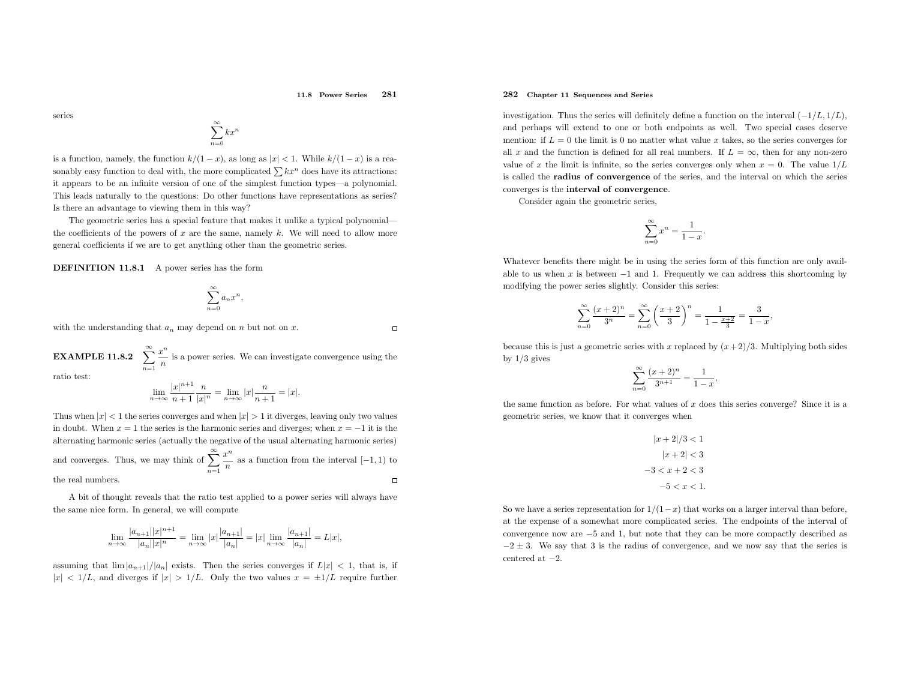### 11.8 Power Series <sup>281</sup>

series

$$
\sum_{n=0}^{\infty} kx^n
$$

is a function, namely, the function  $k/(1-x)$ , as long as  $|x| < 1$ . While  $k/(1-x)$  is a reasonably easy function to deal with, the more complicated  $\sum kx^n$  does have its attractions: it appears to be an infinite version of one of the simplest function types—a polynomial. This leads naturally to the questions: Do other functions have representations as series? Is there an advantage to viewing them in this way?

The geometric series has <sup>a</sup> special feature that makes it unlike <sup>a</sup> typical polynomialthe coefficients of the powers of  $x$  are the same, namely  $k$ . We will need to allow more genera<sup>l</sup> coefficients if we are to get anything other than the geometric series.

DEFINITION 11.8.1 <sup>A</sup> power series has the form

$$
\sum_{n=0}^{\infty} a_n x^n
$$

,

with the understanding that  $a_n$  may depend on n but not on x.

 $\Box$ 

 $\textbf{EXAMPLE 11.8.2} \quad \sum\limits_{n=1}^{\infty}$  $\frac{x}{x}$  $\frac{n}{n}$  is a power series. We can investigate convergence using the

ratio test:

$$
\lim_{n \to \infty} \frac{|x|^{n+1}}{n+1} \frac{n}{|x|^n} = \lim_{n \to \infty} |x| \frac{n}{n+1} = |x|.
$$

Thus when  $|x| < 1$  the series converges and when  $|x| > 1$  it diverges, leaving only two values in doubt. When  $x = 1$  the series is the harmonic series and diverges; when  $x = -1$  it is the alternating harmonic series (actually the negative of the usual alternating harmonic series) and converges. Thus, we may think of  $\sum_{n=1}^{\infty}$  $\frac{n^n}{n}$  as a function from the interval  $[-1, 1)$  to  $\frac{x}{x}$ the real numbers.  $\Box$ 

<sup>A</sup> bit of thought reveals that the ratio test applied to <sup>a</sup> power series will always have the same nice form. In general, we will compute

$$
\lim_{n \to \infty} \frac{|a_{n+1}| |x|^{n+1}}{|a_n| |x|^n} = \lim_{n \to \infty} |x| \frac{|a_{n+1}|}{|a_n|} = |x| \lim_{n \to \infty} \frac{|a_{n+1}|}{|a_n|} = L|x|,
$$

assuming that  $\lim_{n \to \infty} |a_{n+1}|/|a_n|$  exists. Then the series converges if  $L|x| < 1$ , that is, if  $|x| < 1/L$ , and diverges if  $|x| > 1/L$ . Only the two values  $x = \pm 1/L$  require further

### 282 Chapter <sup>11</sup> Sequences and Series

investigation. Thus the series will definitely define a function on the interval  $(-1/L, 1/L)$ , and perhaps will extend to one or both endpoints as well. Two special cases deserve mention: if  $L = 0$  the limit is 0 no matter what value x takes, so the series converges for all x and the function is defined for all real numbers. If  $L = \infty$ , then for any non-zero value of x the limit is infinite, so the series converges only when  $x = 0$ . The value  $1/L$  is called the radius of convergence of the series, and the interval on which the series converges is the interval of convergence.

Consider again the geometric series,

$$
\sum_{n=0}^{\infty} x^n = \frac{1}{1-x}.
$$

Whatever benefits there might be in using the series form of this function are only available to us when  $x$  is between  $-1$  and 1. Frequently we can address this shortcoming by modifying the power series slightly. Consider this series:

$$
\sum_{n=0}^{\infty} \frac{(x+2)^n}{3^n} = \sum_{n=0}^{\infty} \left(\frac{x+2}{3}\right)^n = \frac{1}{1 - \frac{x+2}{3}} = \frac{3}{1-x},
$$

because this is just a geometric series with x replaced by  $(x+2)/3$ . Multiplying both sides by  $1/3$  gives

$$
\sum_{n=0}^{\infty} \frac{(x+2)^n}{3^{n+1}} = \frac{1}{1-x},
$$

the same function as before. For what values of  $x$  does this series converge? Since it is a geometric series, we know that it converges when

$$
|x+2|/3 < 1
$$
  
\n
$$
|x+2| < 3
$$
  
\n
$$
-3 < x + 2 < 3
$$
  
\n
$$
-5 < x < 1.
$$

So we have a series representation for  $1/(1-x)$  that works on a larger interval than before, at the expense of <sup>a</sup> somewhat more complicated series. The endpoints of the interval of convergence now are <sup>−</sup><sup>5</sup> and 1, but note that they can be more compactly described as  $-2 \pm 3$ . We say that 3 is the radius of convergence, and we now say that the series is  $\text{centered at } -2.$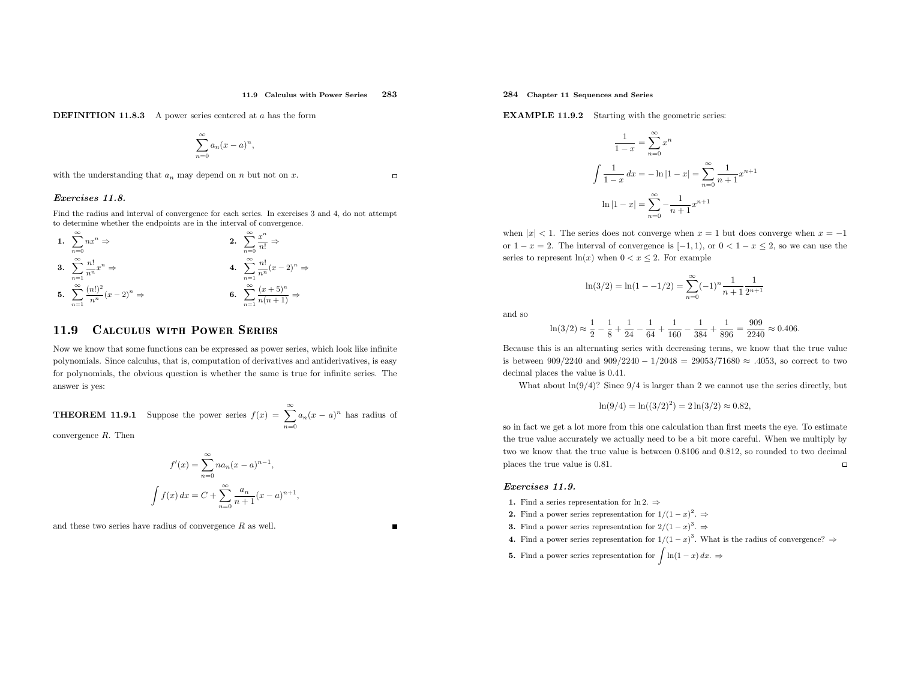**DEFINITION 11.8.3** A power series centered at  $a$  has the form

$$
\sum_{n=0}^{\infty} a_n (x-a)^n,
$$

with the understanding that  $a_n$  may depend on n but not on x.

### Exercises 11.8.

Find the radius and interval of convergence for each series. In exercises <sup>3</sup> and 4, do not attempt to determine whether the endpoints are in the interval of convergence.

1. 
$$
\sum_{n=0}^{\infty} nx^n \Rightarrow
$$
  
\n2. 
$$
\sum_{n=0}^{\infty} \frac{x^n}{n!} \Rightarrow
$$
  
\n3. 
$$
\sum_{n=1}^{\infty} \frac{n!}{n^n} x^n \Rightarrow
$$
  
\n4. 
$$
\sum_{n=1}^{\infty} \frac{n!}{n^n} (x-2)^n \Rightarrow
$$
  
\n5. 
$$
\sum_{n=1}^{\infty} \frac{(n!)^2}{n^n} (x-2)^n \Rightarrow
$$
  
\n6. 
$$
\sum_{n=1}^{\infty} \frac{(x+5)^n}{n(n+1)} \Rightarrow
$$

#### 11.99 CALCULUS WITH POWER SERIES

Now we know that some functions can be expressed as power series, which look like infinite polynomials. Since calculus, that is, computation of derivatives and antiderivatives, is easy for polynomials, the obvious question is whether the same is true for infinite series. The answer is yes:

**THEOREM 11.9.1** Suppose the power series  $f(x) = \sum_{n=1}^{\infty}$  $\sum_{n=0} a_n(x-a)^n$  has radius of

convergence <sup>R</sup>. Then

$$
f'(x) = \sum_{n=0}^{\infty} n a_n (x - a)^{n-1},
$$

$$
\int f(x) dx = C + \sum_{n=0}^{\infty} \frac{a_n}{n+1} (x - a)^{n+1},
$$

and these two series have radius of convergence  $R$  as well.

 $\Box$ 

284 Chapter <sup>11</sup> Sequences and Series

**EXAMPLE 11.9.2** Starting with the geometric series:

$$
\frac{1}{1-x} = \sum_{n=0}^{\infty} x^n
$$

$$
\int \frac{1}{1-x} dx = -\ln|1-x| = \sum_{n=0}^{\infty} \frac{1}{n+1} x^{n+1}
$$

$$
\ln|1-x| = \sum_{n=0}^{\infty} \frac{1}{n+1} x^{n+1}
$$

when  $|x| < 1$ . The series does not converge when  $x = 1$  but does converge when  $x = -1$ or  $1 - x = 2$ . The interval of convergence is  $[-1, 1)$ , or  $0 < 1 - x \le 2$ , so we can use the series to represent  $ln(x)$  when  $0 < x \le 2$ . For example

$$
\ln(3/2) = \ln(1 - -1/2) = \sum_{n=0}^{\infty} (-1)^n \frac{1}{n+1} \frac{1}{2^{n+1}}
$$

and so

$$
\ln(3/2) \approx \frac{1}{2} - \frac{1}{8} + \frac{1}{24} - \frac{1}{64} + \frac{1}{160} - \frac{1}{384} + \frac{1}{896} = \frac{909}{2240} \approx 0.406.
$$

Because this is an alternating series with decreasing terms, we know that the true value is between  $909/2240$  and  $909/2240 - 1/2048 = 29053/71680 \approx .4053$ , so correct to two decimal <sup>p</sup>laces the value is <sup>0</sup>.41.

What about  $\ln(9/4)$ ? Since  $9/4$  is larger than 2 we cannot use the series directly, but

$$
\ln(9/4) = \ln((3/2)^2) = 2\ln(3/2) \approx 0.82,
$$

so in fact we get <sup>a</sup> lot more from this one calculation than first meets the eye. To estimate the true value accurately we actually need to be <sup>a</sup> bit more careful. When we multiply by two we know that the true value is between <sup>0</sup>.<sup>8106</sup> and <sup>0</sup>.812, so rounded to two decimal <sup>p</sup>laces the true value is <sup>0</sup>.81.

### Exercises 11.9.

- 1. Find a series representation for  $\ln 2. \Rightarrow$
- 2. Find a power series representation for  $1/(1-x)^2$ .  $\Rightarrow$
- **3.** Find a power series representation for  $2/(1-x)^3$ .  $\Rightarrow$
- 4. Find a power series representation for  $1/(1-x)^3$ . What is the radius of convergence?  $\Rightarrow$
- **5.** Find a power series representation for  $\int \ln(1 x) dx$ . ⇒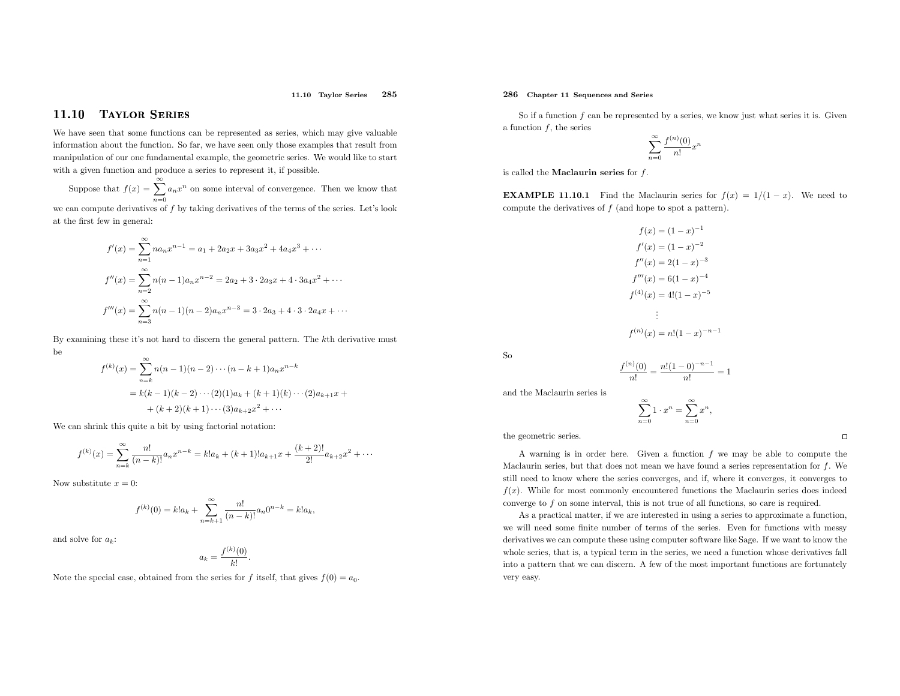### 11.10 Taylor Series <sup>285</sup>

#### 11.10Taylor Series

We have seen that some functions can be represented as series, which may <sup>g</sup>ive valuable information about the function. So far, we have seen only those examples that result from manipulation of our one fundamental example, the geometric series. We would like to start with <sup>a</sup> <sup>g</sup>iven function and produce <sup>a</sup> series to represent it, if possible.

Suppose that  $f(x) = \sum_{n=0}^{\infty} a_n x$ we can compute derivatives of  $f$  by taking derivatives of the terms of the series. Let's look  $n$  on some interval of convergence. Then we know that

at the first few in general:

$$
f'(x) = \sum_{n=1}^{\infty} n a_n x^{n-1} = a_1 + 2a_2 x + 3a_3 x^2 + 4a_4 x^3 + \cdots
$$
  

$$
f''(x) = \sum_{n=2}^{\infty} n(n-1) a_n x^{n-2} = 2a_2 + 3 \cdot 2a_3 x + 4 \cdot 3a_4 x^2 + \cdots
$$
  

$$
f'''(x) = \sum_{n=3}^{\infty} n(n-1)(n-2) a_n x^{n-3} = 3 \cdot 2a_3 + 4 \cdot 3 \cdot 2a_4 x + \cdots
$$

By examining these it's not hard to discern the general pattern. The kth derivative must be

$$
f^{(k)}(x) = \sum_{n=k}^{\infty} n(n-1)(n-2)\cdots(n-k+1)a_n x^{n-k}
$$
  
=  $k(k-1)(k-2)\cdots(2)(1)a_k + (k+1)(k)\cdots(2)a_{k+1}x + (k+2)(k+1)\cdots(3)a_{k+2}x^2 + \cdots$ 

We can shrink this quite <sup>a</sup> bit by using factorial notation:

$$
f^{(k)}(x) = \sum_{n=k}^{\infty} \frac{n!}{(n-k)!} a_n x^{n-k} = k! a_k + (k+1)! a_{k+1} x + \frac{(k+2)!}{2!} a_{k+2} x^2 + \cdots
$$

Now substitute  $x = 0$ :

$$
f^{(k)}(0) = k!a_k + \sum_{n=k+1}^{\infty} \frac{n!}{(n-k)!} a_n 0^{n-k} = k!a_k,
$$

and solve for  $a_k$ :

$$
a_k = \frac{f^{(k)}(0)}{k!}
$$

Note the special case, obtained from the series for f itself, that gives  $f(0) = a_0$ .

### 286 Chapter <sup>11</sup> Sequences and Series

So if a function  $f$  can be represented by a series, we know just what series it is. Given a function  $f$ , the series

$$
\sum_{n=0}^{\infty} \frac{f^{(n)}(0)}{n!} x^n
$$

is called the **Maclaurin series** for  $f$ .

**EXAMPLE 11.10.1** Find the Maclaurin series for  $f(x) = 1/(1-x)$ . We need to compute the derivatives of  $f$  (and hope to spot a pattern).

$$
f(x) = (1 - x)^{-1}
$$
  
\n
$$
f'(x) = (1 - x)^{-2}
$$
  
\n
$$
f''(x) = 2(1 - x)^{-3}
$$
  
\n
$$
f'''(x) = 6(1 - x)^{-4}
$$
  
\n
$$
f^{(4)}(x) = 4!(1 - x)^{-5}
$$
  
\n
$$
\vdots
$$
  
\n
$$
f^{(n)}(x) = n!(1 - x)^{-n-1}
$$

So

and the Maclaurin series is

$$
\sum_{n=0}^{\infty} 1 \cdot x^n = \sum_{n=0}^{\infty} x^n,
$$

 $\frac{f^{(n)}(0)}{n!} = \frac{n!(1-0)^{-n-1}}{n!} = 1$ 

the geometric series.

A warning is in order here. Given a function  $f$  we may be able to compute the Maclaurin series, but that does not mean we have found a series representation for  $f$ . We still need to know where the series converges, and if, where it converges, it converges to  $f(x)$ . While for most commonly encountered functions the Maclaurin series does indeed converge to  $f$  on some interval, this is not true of all functions, so care is required.

As <sup>a</sup> practical matter, if we are interested in using <sup>a</sup> series to approximate <sup>a</sup> function, we will need some finite number of terms of the series. Even for functions with messy derivatives we can compute these using computer software like Sage. If we want to know the whole series, that is, <sup>a</sup> typical term in the series, we need <sup>a</sup> function whose derivatives fall into <sup>a</sup> pattern that we can discern. <sup>A</sup> few of the most important functions are fortunatelyvery easy.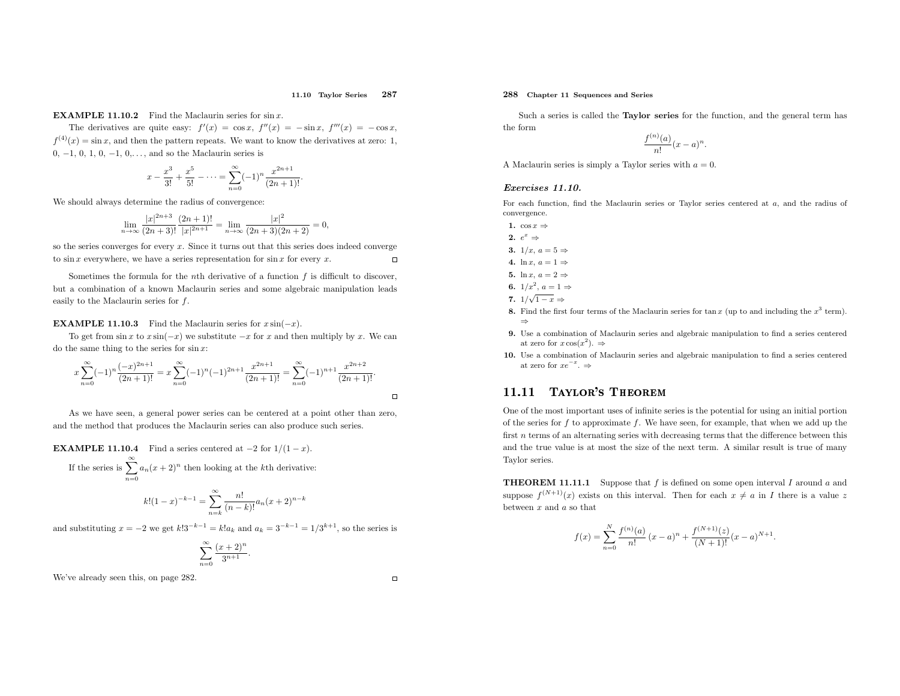#### 11.10 Taylor Series <sup>287</sup>

### **EXAMPLE 11.10.2** Find the Maclaurin series for  $\sin x$ .

The derivatives are quite easy:  $f'(x) = \cos x$ ,  $f''(x) = -\sin x$ ,  $f'''(x) = -\cos x$ ,  $f^{(4)}(x) = \sin x$ , and then the pattern repeats. We want to know the derivatives at zero: 1, 0,  $-1$ , 0, 1, 0,  $-1$ , 0,..., and so the Maclaurin series is

$$
x - \frac{x^3}{3!} + \frac{x^5}{5!} - \dots = \sum_{n=0}^{\infty} (-1)^n \frac{x^{2n+1}}{(2n+1)!}.
$$

We should always determine the radius of convergence:

$$
\lim_{n \to \infty} \frac{|x|^{2n+3}}{(2n+3)!} \frac{(2n+1)!}{|x|^{2n+1}} = \lim_{n \to \infty} \frac{|x|^2}{(2n+3)(2n+2)} = 0,
$$

so the series converges for every  $x$ . Since it turns out that this series does indeed converge to  $\sin x$  everywhere, we have a series representation for  $\sin x$  for every x.

Sometimes the formula for the *n*th derivative of a function  $f$  is difficult to discover, but <sup>a</sup> combination of <sup>a</sup> known Maclaurin series and some algebraic manipulation leads easily to the Maclaurin series for f.

## **EXAMPLE 11.10.3** Find the Maclaurin series for  $x \sin(-x)$ .

To get from  $\sin x$  to  $x \sin(-x)$  we substitute  $-x$  for  $x$  and then multiply by  $x$ . We can do the same thing to the series for  $\sin x$ :

$$
x\sum_{n=0}^{\infty}(-1)^n\frac{(-x)^{2n+1}}{(2n+1)!} = x\sum_{n=0}^{\infty}(-1)^n(-1)^{2n+1}\frac{x^{2n+1}}{(2n+1)!} = \sum_{n=0}^{\infty}(-1)^{n+1}\frac{x^{2n+2}}{(2n+1)!}.
$$

As we have seen, <sup>a</sup> genera<sup>l</sup> power series can be centered at <sup>a</sup> point other than zero, and the method that produces the Maclaurin series can also produce such series.

# **EXAMPLE 11.10.4** Find a series centered at  $-2$  for  $1/(1-x)$ .

If the series is  $\sum^{\infty}$  $\sum_{n=0} a_n(x+2)^n$  then looking at the kth derivative:

$$
k!(1-x)^{-k-1} = \sum_{n=k}^{\infty} \frac{n!}{(n-k)!} a_n(x+2)^{n-k}
$$

and substituting  $x = -2$  we get  $k!3^{-k-1} = k!a_k$  and  $a_k = 3^{-k-1} = 1/3^{k+1}$ , so the series is

$$
\sum_{n=0}^{\infty} \frac{(x+2)^n}{3^{n+1}}.
$$

We've already seen this, on page 282.

### 288 Chapter <sup>11</sup> Sequences and Series

Such <sup>a</sup> series is called the Taylor series for the function, and the genera<sup>l</sup> term has the form

$$
\frac{f^{(n)}(a)}{n!}(x-a)^n.
$$

A Maclaurin series is simply a Taylor series with  $a = 0$ .

### Exercises 11.10.

For each function, find the Maclaurin series or Taylor series centered at  $a$ , and the radius of convergence.

- 1.  $\cos x \Rightarrow$
- 2.  $e^x \Rightarrow$
- 3.  $1/x$ ,  $a = 5 \Rightarrow$
- 4. ln  $x, a = 1 \Rightarrow$
- 5. ln  $x, a = 2 \Rightarrow$
- 6.  $1/x^2$ ,  $a = 1 \Rightarrow$

7. 
$$
1/\sqrt{1-x}
$$
 =

- 7.  $1/\sqrt{1-x} \Rightarrow$ <br>8. Find the first four terms of the Maclaurin series for tan x (up to and including the  $x^3$  term). ⇒
- 9. Use <sup>a</sup> combination of Maclaurin series and algebraic manipulation to find <sup>a</sup> series centeredat zero for  $x \cos(x^2)$ .  $\Rightarrow$
- 10. Use <sup>a</sup> combination of Maclaurin series and algebraic manipulation to find <sup>a</sup> series centeredat zero for  $xe^{-x}$ .  $\Rightarrow$

#### 11.11Taylor's Theorem

 One of the most important uses of infinite series is the potential for using an initial portionof the series for  $f$  to approximate  $f$ . We have seen, for example, that when we add up the first *n* terms of an alternating series with decreasing terms that the difference between this and the true value is at most the size of the next term. <sup>A</sup> similar result is true of manyTaylor series.

**THEOREM 11.11.1** Suppose that  $f$  is defined on some open interval  $I$  around  $a$  and suppose  $f^{(N+1)}(x)$  exists on this interval. Then for each  $x \neq a$  in I there is a value z between  $x$  and  $a$  so that

$$
f(x) = \sum_{n=0}^{N} \frac{f^{(n)}(a)}{n!} (x - a)^n + \frac{f^{(N+1)}(z)}{(N+1)!} (x - a)^{N+1}.
$$

 $\Box$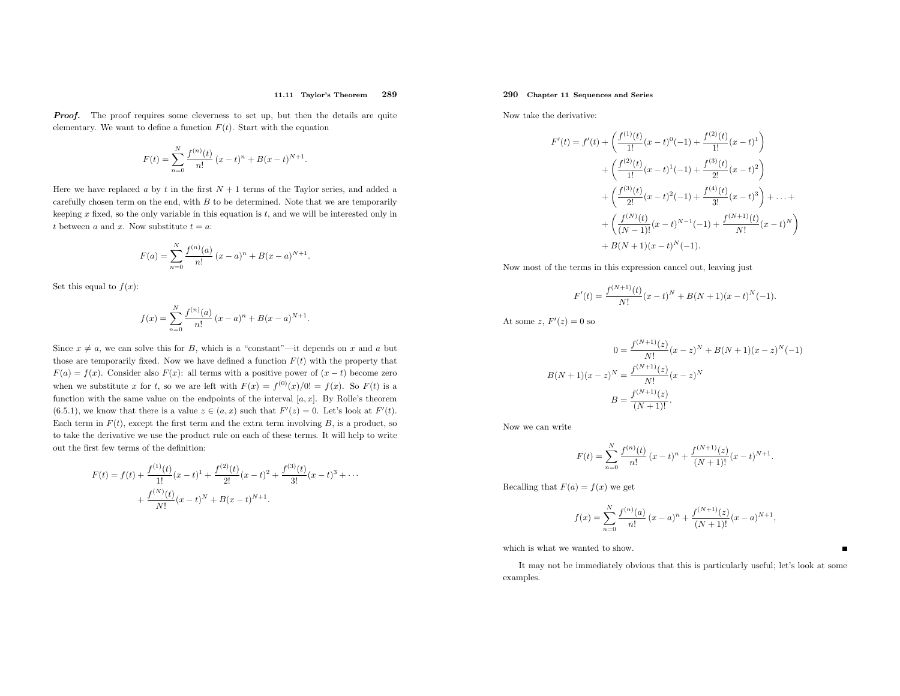#### 11.11 Taylor's Theorem<sup>289</sup>

**Proof.** The proof requires some cleverness to set up, but then the details are quite elementary. We want to define a function  $F(t)$ . Start with the equation

$$
F(t) = \sum_{n=0}^{N} \frac{f^{(n)}(t)}{n!} (x - t)^{n} + B(x - t)^{N+1}.
$$

Here we have replaced a by t in the first  $N + 1$  terms of the Taylor series, and added a carefully chosen term on the end, with  $B$  to be determined. Note that we are temporarily keeping  $x$  fixed, so the only variable in this equation is  $t$ , and we will be interested only in t between a and x. Now substitute  $t = a$ :

$$
F(a) = \sum_{n=0}^{N} \frac{f^{(n)}(a)}{n!} (x - a)^{n} + B(x - a)^{N+1}.
$$

Set this equal to  $f(x)$ :

$$
f(x) = \sum_{n=0}^{N} \frac{f^{(n)}(a)}{n!} (x - a)^{n} + B(x - a)^{N+1}.
$$

Since  $x \neq a$ , we can solve this for B, which is a "constant"—it depends on x and a but those are temporarily fixed. Now we have defined a function  $F(t)$  with the property that  $F(a) = f(x)$ . Consider also  $F(x)$ : all terms with a positive power of  $(x - t)$  become zero when we substitute x for t, so we are left with  $F(x) = f^{(0)}(x)/0! = f(x)$ . So  $F(t)$  is a function with the same value on the endpoints of the interval  $[a, x]$ . By Rolle's theorem (6.5.1), we know that there is a value  $z \in (a, x)$  such that  $F'(z) = 0$ . Let's look at  $F'(t)$ . Each term in  $F(t)$ , except the first term and the extra term involving B, is a product, so to take the derivative we use the product rule on each of these terms. It will help to write out the first few terms of the definition:

$$
F(t) = f(t) + \frac{f^{(1)}(t)}{1!}(x-t)^{1} + \frac{f^{(2)}(t)}{2!}(x-t)^{2} + \frac{f^{(3)}(t)}{3!}(x-t)^{3} + \cdots
$$

$$
+ \frac{f^{(N)}(t)}{N!}(x-t)^{N} + B(x-t)^{N+1}.
$$

## 290 Chapter <sup>11</sup> Sequences and Series

Now take the derivative:

$$
F'(t) = f'(t) + \left(\frac{f^{(1)}(t)}{1!}(x-t)^0(-1) + \frac{f^{(2)}(t)}{1!}(x-t)^1\right) + \left(\frac{f^{(2)}(t)}{1!}(x-t)^1(-1) + \frac{f^{(3)}(t)}{2!}(x-t)^2\right) + \left(\frac{f^{(3)}(t)}{2!}(x-t)^2(-1) + \frac{f^{(4)}(t)}{3!}(x-t)^3\right) + \dots + + \left(\frac{f^{(N)}(t)}{(N-1)!}(x-t)^{N-1}(-1) + \frac{f^{(N+1)}(t)}{N!}(x-t)^N\right) + B(N+1)(x-t)^N(-1).
$$

Now most of the terms in this expression cancel out, leaving just

$$
F'(t) = \frac{f^{(N+1)}(t)}{N!}(x-t)^N + B(N+1)(x-t)^N(-1).
$$

At some  $z, F'(z) = 0$  so

$$
0 = \frac{f^{(N+1)}(z)}{N!} (x - z)^N + B(N+1)(x - z)^N (-1)
$$

$$
B(N+1)(x - z)^N = \frac{f^{(N+1)}(z)}{N!} (x - z)^N
$$

$$
B = \frac{f^{(N+1)}(z)}{(N+1)!}.
$$

Now we can write

$$
F(t) = \sum_{n=0}^{N} \frac{f^{(n)}(t)}{n!} (x - t)^n + \frac{f^{(N+1)}(z)}{(N+1)!} (x - t)^{N+1}.
$$

Recalling that  $F(a) = f(x)$  we get

$$
f(x) = \sum_{n=0}^{N} \frac{f^{(n)}(a)}{n!} (x - a)^n + \frac{f^{(N+1)}(z)}{(N+1)!} (x - a)^{N+1},
$$

which is what we wanted to show.

It may not be immediately obvious that this is particularly useful; let's look at some examples.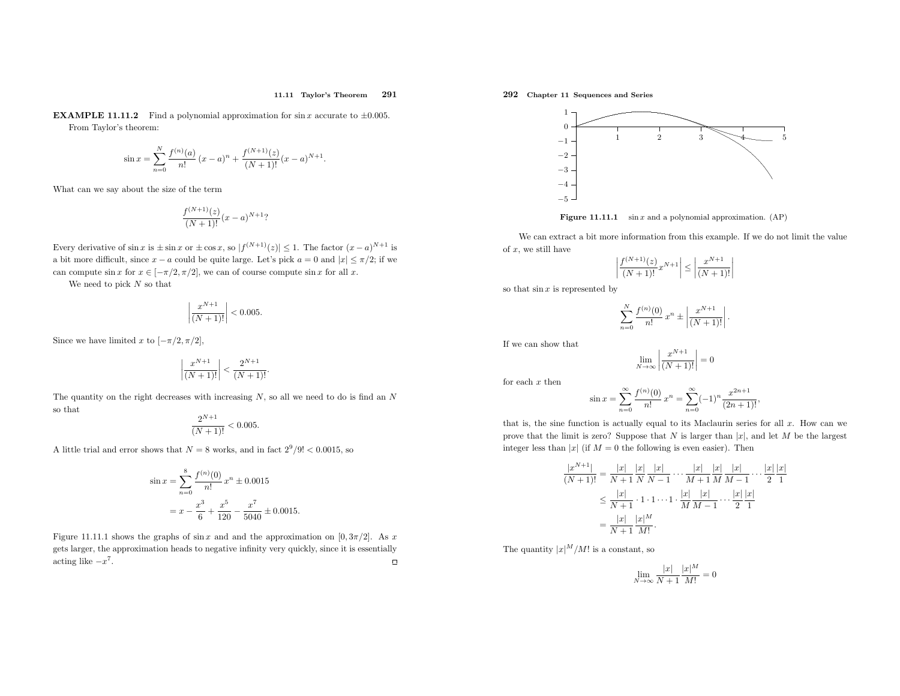#### 11.11 Taylor's Theorem<sup>291</sup>

**EXAMPLE 11.11.2** Find a polynomial approximation for  $\sin x$  accurate to  $\pm 0.005$ . From Taylor's theorem:

$$
\sin x = \sum_{n=0}^{N} \frac{f^{(n)}(a)}{n!} (x-a)^n + \frac{f^{(N+1)}(z)}{(N+1)!} (x-a)^{N+1}.
$$

What can we say about the size of the term

$$
\frac{f^{(N+1)}(z)}{(N+1)!}(x-a)^{N+1}
$$
?

Every derivative of  $\sin x$  is  $\pm \sin x$  or  $\pm \cos x$ , so  $|f^{(N+1)}(z)| \leq 1$ . The factor  $(x-a)^{N+1}$  is a bit more difficult, since  $x - a$  could be quite large. Let's pick  $a = 0$  and  $|x| \le \pi/2$ ; if we can compute  $\sin x$  for  $x \in [-\pi/2, \pi/2]$ , we can of course compute  $\sin x$  for all x.

We need to pick  $N$  so that

$$
\left| \frac{x^{N+1}}{(N+1)!} \right| < 0.005.
$$

Since we have limited x to  $[-\pi/2, \pi/2]$ ,

$$
\left| \frac{x^{N+1}}{(N+1)!} \right| < \frac{2^{N+1}}{(N+1)!}
$$

The quantity on the right decreases with increasing  $N$ , so all we need to do is find an  $N$ so that

$$
\frac{2^{N+1}}{(N+1)!} < 0.005.
$$

A little trial and error shows that  $N = 8$  works, and in fact  $2^9/9! < 0.0015$ , so

$$
\sin x = \sum_{n=0}^{8} \frac{f^{(n)}(0)}{n!} x^n \pm 0.0015
$$

$$
= x - \frac{x^3}{6} + \frac{x^5}{120} - \frac{x^7}{5040} \pm 0.0015.
$$

Figure 11.11.1 shows the graphs of  $\sin x$  and and the approximation on [0,  $3\pi/2$ ]. As x gets larger, the approximation heads to negative infinity very quickly, since it is essentially $\Box$ acting like  $-x^7$ .

292 Chapter <sup>11</sup> Sequences and Series



**Figure 11.11.1** sin x and a polynomial approximation.  $AP$ )

We can extract <sup>a</sup> bit more information from this example. If we do not limit the value of  $x$ , we still have

$$
\left| \frac{f^{(N+1)}(z)}{(N+1)!} x^{N+1} \right| \le \left| \frac{x^{N+1}}{(N+1)!} \right|
$$

so that  $\sin x$  is represented by

$$
\sum_{n=0}^{N} \frac{f^{(n)}(0)}{n!} x^{n} \pm \left| \frac{x^{N+1}}{(N+1)!} \right|
$$

If we can show that

$$
\lim_{N \to \infty} \left| \frac{x^{N+1}}{(N+1)!} \right| = 0
$$

 $\sim$ 

for each  $x$  then

$$
\sin x = \sum_{n=0}^{\infty} \frac{f^{(n)}(0)}{n!} x^n = \sum_{n=0}^{\infty} (-1)^n \frac{x^{2n+1}}{(2n+1)!},
$$

that is, the sine function is actually equal to its Maclaurin series for all  $x$ . How can we prove that the limit is zero? Suppose that N is larger than  $|x|$ , and let M be the largest integer less than  $|x|$  (if  $M = 0$  the following is even easier). Then

$$
\frac{|x^{N+1}|}{(N+1)!} = \frac{|x|}{N+1} \frac{|x|}{N} \frac{|x|}{N-1} \cdots \frac{|x|}{M+1} \frac{|x|}{M} \frac{|x|}{M-1} \cdots \frac{|x|}{2} \frac{|x|}{1}
$$
  

$$
\leq \frac{|x|}{N+1} \cdot 1 \cdot 1 \cdots 1 \cdot \frac{|x|}{M} \frac{|x|}{M-1} \cdots \frac{|x|}{2} \frac{|x|}{1}
$$
  

$$
= \frac{|x|}{N+1} \frac{|x|^M}{M!}.
$$

The quantity  $|x|^M/M!$  is a constant, so

$$
\lim_{N \to \infty} \frac{|x|}{N+1} \frac{|x|^M}{M!} = 0
$$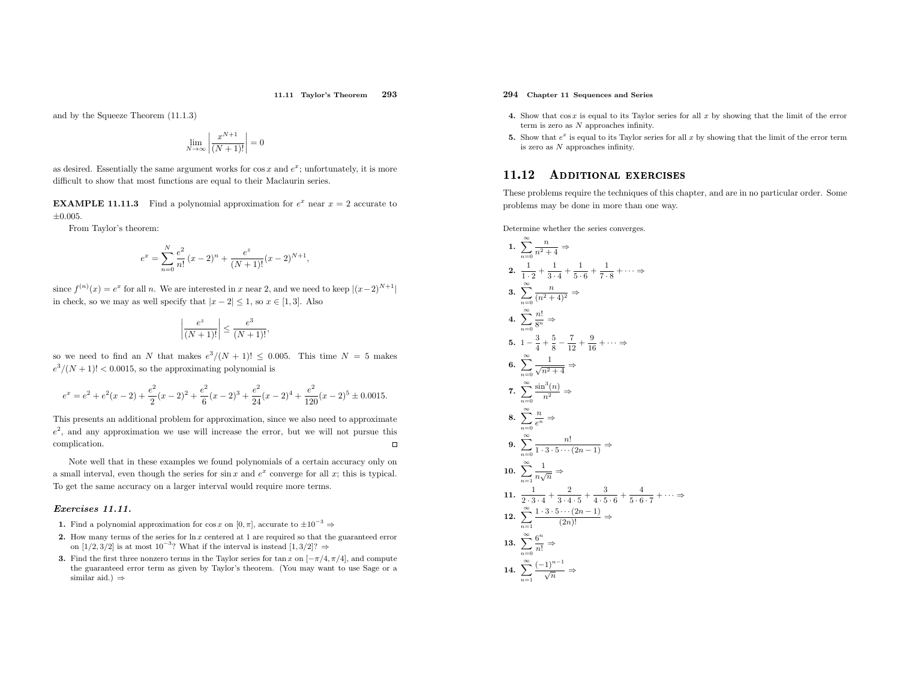and by the Squeeze Theorem (11.1.3)

$$
\lim_{N \to \infty} \left| \frac{x^{N+1}}{(N+1)!} \right| = 0
$$

as desired. Essentially the same argument works for  $\cos x$  and  $e^x$ ; unfortunately, it is more difficult to show that most functions are equa<sup>l</sup> to their Maclaurin series.

**EXAMPLE 11.11.3** Find a polynomial approximation for  $e^x$  near  $x = 2$  accurate to  $+0.005$ .

From Taylor's theorem:

$$
e^x = \sum_{n=0}^{N} \frac{e^2}{n!} (x-2)^n + \frac{e^z}{(N+1)!} (x-2)^{N+1},
$$

since  $f^{(n)}(x) = e^x$  for all n. We are interested in x near 2, and we need to keep  $|(x-2)^{N+1}|$ in check, so we may as well specify that  $|x - 2| \le 1$ , so  $x \in [1, 3]$ . Also

$$
\left|\frac{e^z}{(N+1)!}\right| \le \frac{e^3}{(N+1)!},
$$

so we need to find an N that makes  $e^3/(N+1)! \leq 0.005$ . This time  $N = 5$  makes  $e^{3}/(N+1)!$  < 0.0015, so the approximating polynomial is

$$
e^x=e^2+e^2(x-2)+\frac{e^2}{2}(x-2)^2+\frac{e^2}{6}(x-2)^3+\frac{e^2}{24}(x-2)^4+\frac{e^2}{120}(x-2)^5\pm 0.0015.
$$

This presents an additional problem for approximation, since we also need to approximate  $e^2$ , and any approximation we use will increase the error, but we will not pursue this complication. $\Box$ 

Note well that in these examples we found polynomials of <sup>a</sup> certain accuracy only ona small interval, even though the series for  $\sin x$  and  $e^x$  converge for all x; this is typical. To get the same accuracy on <sup>a</sup> larger interval would require more terms.

### Exercises 11.11.

- **1.** Find a polynomial approximation for cos x on  $[0, \pi]$ , accurate to  $\pm 10^{-3} \Rightarrow$
- 2. How many terms of the series for  $\ln x$  centered at 1 are required so that the guaranteed error on [1/2, 3/2] is at most 10<sup>-3</sup>? What if the interval is instead [1, 3/2]? ⇒
- 3. Find the first three nonzero terms in the Taylor series for tan x on  $[-\pi/4, \pi/4]$ , and compute the guaranteed error term as <sup>g</sup>iven by Taylor's theorem. (You may want to use Sage or <sup>a</sup>similar aid.)  $\Rightarrow$

### 294 Chapter <sup>11</sup> Sequences and Series

- 4. Show that  $\cos x$  is equal to its Taylor series for all x by showing that the limit of the error term is zero as N approaches infinity.
- **5.** Show that  $e^x$  is equal to its Taylor series for all x by showing that the limit of the error term is zero as N approaches infinity.

#### 11.12ADDITIONAL EXERCISES

These problems require the techniques of this chapter, and are in no particular order. Some problems may be done in more than one way.

Determine whether the series converges.

1. 
$$
\sum_{n=0}^{\infty} \frac{n}{n^2 + 4} \Rightarrow
$$
\n2. 
$$
\frac{1}{1 \cdot 2} + \frac{1}{3 \cdot 4} + \frac{1}{5 \cdot 6} + \frac{1}{7 \cdot 8} + \cdots \Rightarrow
$$
\n3. 
$$
\sum_{n=0}^{\infty} \frac{n}{(n^2 + 4)^2} \Rightarrow
$$
\n4. 
$$
\sum_{n=0}^{\infty} \frac{n!}{8^n} \Rightarrow
$$
\n5. 
$$
1 - \frac{3}{4} + \frac{5}{8} - \frac{7}{12} + \frac{9}{16} + \cdots \Rightarrow
$$
\n6. 
$$
\sum_{n=0}^{\infty} \frac{1}{\sqrt{n^2 + 4}} \Rightarrow
$$
\n7. 
$$
\sum_{n=0}^{\infty} \frac{\sin^3(n)}{n^2} \Rightarrow
$$
\n8. 
$$
\sum_{n=0}^{\infty} \frac{n}{e^n} \Rightarrow
$$
\n9. 
$$
\sum_{n=0}^{\infty} \frac{n!}{1 \cdot 3 \cdot 5 \cdots (2n - 1)} \Rightarrow
$$
\n10. 
$$
\sum_{n=1}^{\infty} \frac{1}{n\sqrt{n}} \Rightarrow
$$
\n11. 
$$
\frac{1}{2 \cdot 3 \cdot 4} + \frac{2}{3 \cdot 4 \cdot 5} + \frac{3}{4 \cdot 5 \cdot 6} + \frac{4}{5 \cdot 6 \cdot 7} + \cdots \Rightarrow
$$
\n12. 
$$
\sum_{n=1}^{\infty} \frac{1 \cdot 3 \cdot 5 \cdots (2n - 1)}{(2n)!} \Rightarrow
$$
\n13. 
$$
\sum_{n=0}^{\infty} \frac{6^n}{n!} \Rightarrow
$$
\n14. 
$$
\sum_{n=1}^{\infty} \frac{(-1)^{n-1}}{\sqrt{n}} \Rightarrow
$$